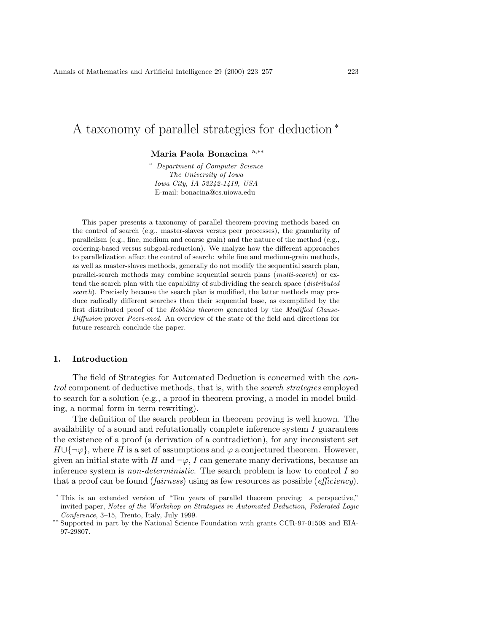# A taxonomy of parallel strategies for deduction <sup>∗</sup>

# Maria Paola Bonacina <sup>a</sup>,∗∗

<sup>a</sup> Department of Computer Science The University of Iowa Iowa City, IA 52242-1419, USA E-mail: bonacina@cs.uiowa.edu

This paper presents a taxonomy of parallel theorem-proving methods based on the control of search (e.g., master-slaves versus peer processes), the granularity of parallelism (e.g., fine, medium and coarse grain) and the nature of the method (e.g., ordering-based versus subgoal-reduction). We analyze how the different approaches to parallelization affect the control of search: while fine and medium-grain methods, as well as master-slaves methods, generally do not modify the sequential search plan, parallel-search methods may combine sequential search plans (multi-search) or extend the search plan with the capability of subdividing the search space (distributed search). Precisely because the search plan is modified, the latter methods may produce radically different searches than their sequential base, as exemplified by the first distributed proof of the Robbins theorem generated by the Modified Clause-Diffusion prover Peers-mcd. An overview of the state of the field and directions for future research conclude the paper.

#### 1. Introduction

The field of Strategies for Automated Deduction is concerned with the control component of deductive methods, that is, with the *search strategies* employed to search for a solution (e.g., a proof in theorem proving, a model in model building, a normal form in term rewriting).

The definition of the search problem in theorem proving is well known. The availability of a sound and refutationally complete inference system  $I$  guarantees the existence of a proof (a derivation of a contradiction), for any inconsistent set  $H \cup \{\neg \varphi\}$ , where H is a set of assumptions and  $\varphi$  a conjectured theorem. However, given an initial state with H and  $\neg \varphi$ , I can generate many derivations, because an inference system is *non-deterministic*. The search problem is how to control  $I$  so that a proof can be found (*fairness*) using as few resources as possible (*efficiency*).

<sup>∗</sup> This is an extended version of "Ten years of parallel theorem proving: a perspective," invited paper, Notes of the Workshop on Strategies in Automated Deduction, Federated Logic Conference, 3–15, Trento, Italy, July 1999.

<sup>∗∗</sup> Supported in part by the National Science Foundation with grants CCR-97-01508 and EIA-97-29807.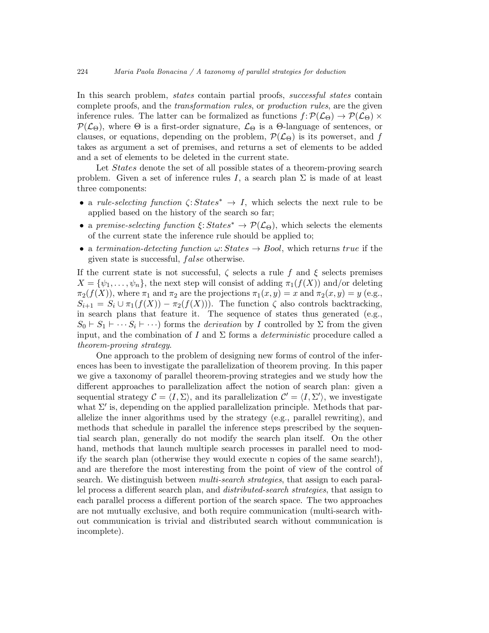In this search problem, *states* contain partial proofs, *successful states* contain complete proofs, and the transformation rules, or production rules, are the given inference rules. The latter can be formalized as functions  $f: \mathcal{P}(\mathcal{L}_{\Theta}) \to \mathcal{P}(\mathcal{L}_{\Theta}) \times$  $\mathcal{P}(\mathcal{L}_{\Theta})$ , where  $\Theta$  is a first-order signature,  $\mathcal{L}_{\Theta}$  is a  $\Theta$ -language of sentences, or clauses, or equations, depending on the problem,  $\mathcal{P}(\mathcal{L}_{\Theta})$  is its powerset, and f takes as argument a set of premises, and returns a set of elements to be added and a set of elements to be deleted in the current state.

Let States denote the set of all possible states of a theorem-proving search problem. Given a set of inference rules I, a search plan  $\Sigma$  is made of at least three components:

- a rule-selecting function  $\zeta: States^* \to I$ , which selects the next rule to be applied based on the history of the search so far;
- a premise-selecting function  $\xi: States^* \to \mathcal{P}(\mathcal{L}_{\Theta})$ , which selects the elements of the current state the inference rule should be applied to;
- a termination-detecting function  $\omega$ : States  $\rightarrow$  Bool, which returns true if the given state is successful, *false* otherwise.

If the current state is not successful,  $\zeta$  selects a rule f and  $\xi$  selects premises  $X = \{\psi_1, \ldots, \psi_n\}$ , the next step will consist of adding  $\pi_1(f(X))$  and/or deleting  $\pi_2(f(X))$ , where  $\pi_1$  and  $\pi_2$  are the projections  $\pi_1(x, y) = x$  and  $\pi_2(x, y) = y$  (e.g.,  $S_{i+1} = S_i \cup \pi_1(f(X)) - \pi_2(f(X))$ . The function  $\zeta$  also controls backtracking, in search plans that feature it. The sequence of states thus generated (e.g.,  $S_0 \vdash S_1 \vdash \cdots S_i \vdash \cdots$  forms the *derivation* by I controlled by  $\Sigma$  from the given input, and the combination of I and  $\Sigma$  forms a *deterministic* procedure called a theorem-proving strategy.

One approach to the problem of designing new forms of control of the inferences has been to investigate the parallelization of theorem proving. In this paper we give a taxonomy of parallel theorem-proving strategies and we study how the different approaches to parallelization affect the notion of search plan: given a sequential strategy  $\mathcal{C} = \langle I, \Sigma \rangle$ , and its parallelization  $\mathcal{C}' = \langle I, \Sigma' \rangle$ , we investigate what Σ' is, depending on the applied parallelization principle. Methods that parallelize the inner algorithms used by the strategy (e.g., parallel rewriting), and methods that schedule in parallel the inference steps prescribed by the sequential search plan, generally do not modify the search plan itself. On the other hand, methods that launch multiple search processes in parallel need to modify the search plan (otherwise they would execute n copies of the same search!), and are therefore the most interesting from the point of view of the control of search. We distinguish between multi-search strategies, that assign to each parallel process a different search plan, and distributed-search strategies, that assign to each parallel process a different portion of the search space. The two approaches are not mutually exclusive, and both require communication (multi-search without communication is trivial and distributed search without communication is incomplete).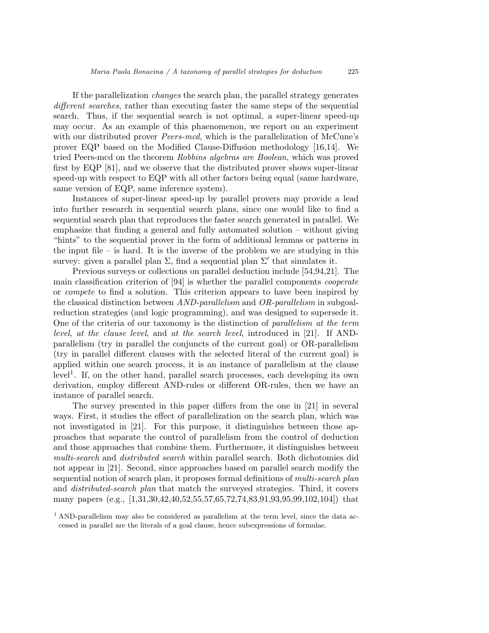If the parallelization changes the search plan, the parallel strategy generates different searches, rather than executing faster the same steps of the sequential search. Thus, if the sequential search is not optimal, a super-linear speed-up may occur. As an example of this phaenomenon, we report on an experiment with our distributed prover *Peers-mcd*, which is the parallelization of McCune's prover EQP based on the Modified Clause-Diffusion methodology [16,14]. We tried Peers-mcd on the theorem Robbins algebras are Boolean, which was proved first by EQP [81], and we observe that the distributed prover shows super-linear speed-up with respect to EQP with all other factors being equal (same hardware, same version of EQP, same inference system).

Instances of super-linear speed-up by parallel provers may provide a lead into further research in sequential search plans, since one would like to find a sequential search plan that reproduces the faster search generated in parallel. We emphasize that finding a general and fully automated solution – without giving "hints" to the sequential prover in the form of additional lemmas or patterns in the input file – is hard. It is the inverse of the problem we are studying in this survey: given a parallel plan  $\Sigma$ , find a sequential plan  $\Sigma'$  that simulates it.

Previous surveys or collections on parallel deduction include [54,94,21]. The main classification criterion of [94] is whether the parallel components cooperate or compete to find a solution. This criterion appears to have been inspired by the classical distinction between AND-parallelism and OR-parallelism in subgoalreduction strategies (and logic programming), and was designed to supersede it. One of the criteria of our taxonomy is the distinction of parallelism at the term level, at the clause level, and at the search level, introduced in [21]. If ANDparallelism (try in parallel the conjuncts of the current goal) or OR-parallelism (try in parallel different clauses with the selected literal of the current goal) is applied within one search process, it is an instance of parallelism at the clause level<sup>1</sup>. If, on the other hand, parallel search processes, each developing its own derivation, employ different AND-rules or different OR-rules, then we have an instance of parallel search.

The survey presented in this paper differs from the one in [21] in several ways. First, it studies the effect of parallelization on the search plan, which was not investigated in [21]. For this purpose, it distinguishes between those approaches that separate the control of parallelism from the control of deduction and those approaches that combine them. Furthermore, it distinguishes between multi-search and distributed search within parallel search. Both dichotomies did not appear in [21]. Second, since approaches based on parallel search modify the sequential notion of search plan, it proposes formal definitions of multi-search plan and distributed-search plan that match the surveyed strategies. Third, it covers many papers (e.g., [1,31,30,42,40,52,55,57,65,72,74,83,91,93,95,99,102,104]) that

 $1$ <sup>1</sup> AND-parallelism may also be considered as parallelism at the term level, since the data accessed in parallel are the literals of a goal clause, hence subexpressions of formulae.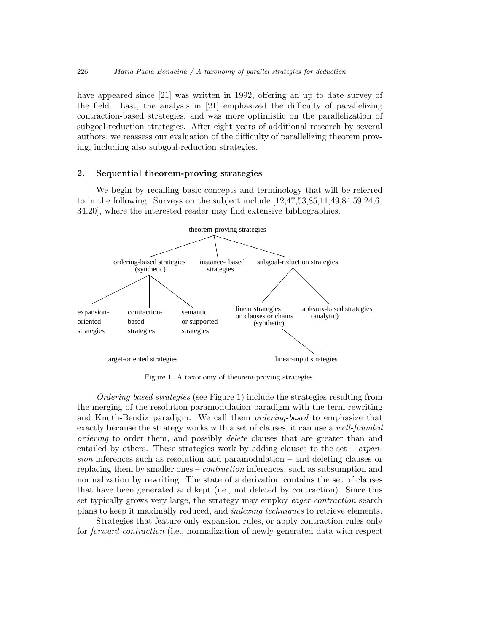have appeared since [21] was written in 1992, offering an up to date survey of the field. Last, the analysis in [21] emphasized the difficulty of parallelizing contraction-based strategies, and was more optimistic on the parallelization of subgoal-reduction strategies. After eight years of additional research by several authors, we reassess our evaluation of the difficulty of parallelizing theorem proving, including also subgoal-reduction strategies.

## 2. Sequential theorem-proving strategies

We begin by recalling basic concepts and terminology that will be referred to in the following. Surveys on the subject include [12,47,53,85,11,49,84,59,24,6, 34,20], where the interested reader may find extensive bibliographies.



Figure 1. A taxonomy of theorem-proving strategies.

Ordering-based strategies (see Figure 1) include the strategies resulting from the merging of the resolution-paramodulation paradigm with the term-rewriting and Knuth-Bendix paradigm. We call them ordering-based to emphasize that exactly because the strategy works with a set of clauses, it can use a *well-founded* ordering to order them, and possibly delete clauses that are greater than and entailed by others. These strategies work by adding clauses to the set –  $expan$ sion inferences such as resolution and paramodulation – and deleting clauses or replacing them by smaller ones – contraction inferences, such as subsumption and normalization by rewriting. The state of a derivation contains the set of clauses that have been generated and kept (i.e., not deleted by contraction). Since this set typically grows very large, the strategy may employ eager-contraction search plans to keep it maximally reduced, and indexing techniques to retrieve elements.

Strategies that feature only expansion rules, or apply contraction rules only for forward contraction (i.e., normalization of newly generated data with respect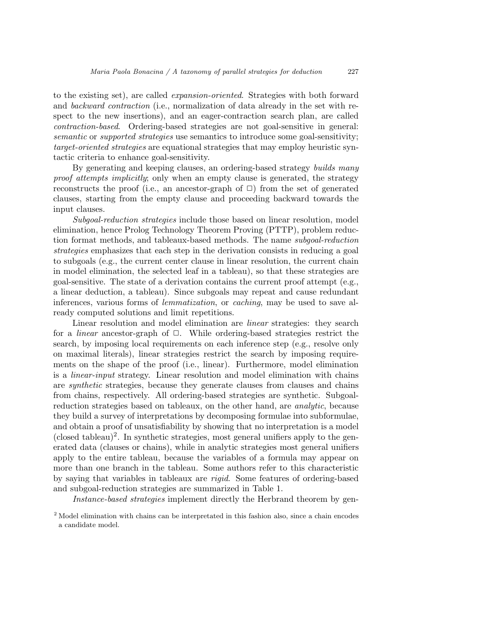to the existing set), are called expansion-oriented. Strategies with both forward and backward contraction (i.e., normalization of data already in the set with respect to the new insertions), and an eager-contraction search plan, are called contraction-based. Ordering-based strategies are not goal-sensitive in general: semantic or *supported strategies* use semantics to introduce some goal-sensitivity; target-oriented strategies are equational strategies that may employ heuristic syntactic criteria to enhance goal-sensitivity.

By generating and keeping clauses, an ordering-based strategy builds many proof attempts implicitly; only when an empty clause is generated, the strategy reconstructs the proof (i.e., an ancestor-graph of  $\Box$ ) from the set of generated clauses, starting from the empty clause and proceeding backward towards the input clauses.

Subgoal-reduction strategies include those based on linear resolution, model elimination, hence Prolog Technology Theorem Proving (PTTP), problem reduction format methods, and tableaux-based methods. The name subgoal-reduction strategies emphasizes that each step in the derivation consists in reducing a goal to subgoals (e.g., the current center clause in linear resolution, the current chain in model elimination, the selected leaf in a tableau), so that these strategies are goal-sensitive. The state of a derivation contains the current proof attempt (e.g., a linear deduction, a tableau). Since subgoals may repeat and cause redundant inferences, various forms of lemmatization, or caching, may be used to save already computed solutions and limit repetitions.

Linear resolution and model elimination are *linear* strategies: they search for a *linear* ancestor-graph of  $\Box$ . While ordering-based strategies restrict the search, by imposing local requirements on each inference step (e.g., resolve only on maximal literals), linear strategies restrict the search by imposing requirements on the shape of the proof (i.e., linear). Furthermore, model elimination is a linear-input strategy. Linear resolution and model elimination with chains are synthetic strategies, because they generate clauses from clauses and chains from chains, respectively. All ordering-based strategies are synthetic. Subgoalreduction strategies based on tableaux, on the other hand, are *analytic*, because they build a survey of interpretations by decomposing formulae into subformulae, and obtain a proof of unsatisfiability by showing that no interpretation is a model (closed tableau)<sup>2</sup> . In synthetic strategies, most general unifiers apply to the generated data (clauses or chains), while in analytic strategies most general unifiers apply to the entire tableau, because the variables of a formula may appear on more than one branch in the tableau. Some authors refer to this characteristic by saying that variables in tableaux are rigid. Some features of ordering-based and subgoal-reduction strategies are summarized in Table 1.

Instance-based strategies implement directly the Herbrand theorem by gen-

<sup>&</sup>lt;sup>2</sup> Model elimination with chains can be interpretated in this fashion also, since a chain encodes a candidate model.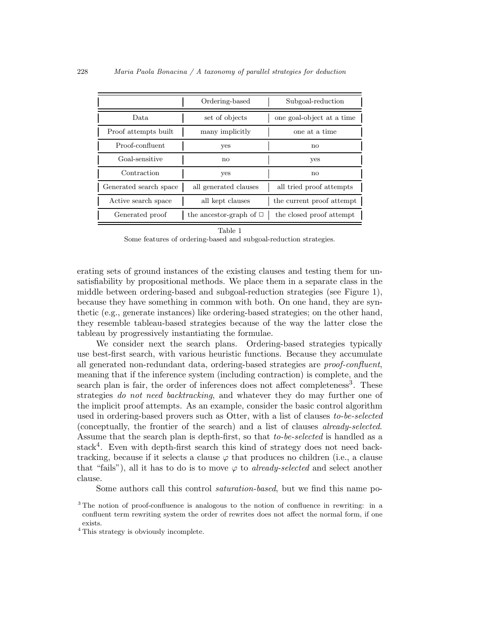|                        | Ordering-based                              | Subgoal-reduction         |  |
|------------------------|---------------------------------------------|---------------------------|--|
| Data.                  | set of objects<br>one goal-object at a time |                           |  |
| Proof attempts built   | many implicitly                             | one at a time             |  |
| Proof-confluent        | yes                                         | no                        |  |
| Goal-sensitive         | $\mathbf{no}$                               | yes                       |  |
| Contraction            | yes                                         | no                        |  |
| Generated search space | all generated clauses                       | all tried proof attempts  |  |
| Active search space    | all kept clauses                            | the current proof attempt |  |
| Generated proof        | the ancestor-graph of $\Box$                | the closed proof attempt  |  |

Table 1

Some features of ordering-based and subgoal-reduction strategies.

erating sets of ground instances of the existing clauses and testing them for unsatisfiability by propositional methods. We place them in a separate class in the middle between ordering-based and subgoal-reduction strategies (see Figure 1), because they have something in common with both. On one hand, they are synthetic (e.g., generate instances) like ordering-based strategies; on the other hand, they resemble tableau-based strategies because of the way the latter close the tableau by progressively instantiating the formulae.

We consider next the search plans. Ordering-based strategies typically use best-first search, with various heuristic functions. Because they accumulate all generated non-redundant data, ordering-based strategies are proof-confluent, meaning that if the inference system (including contraction) is complete, and the search plan is fair, the order of inferences does not affect completeness<sup>3</sup>. These strategies do not need backtracking, and whatever they do may further one of the implicit proof attempts. As an example, consider the basic control algorithm used in ordering-based provers such as Otter, with a list of clauses to-be-selected (conceptually, the frontier of the search) and a list of clauses already-selected. Assume that the search plan is depth-first, so that to-be-selected is handled as a stack<sup>4</sup>. Even with depth-first search this kind of strategy does not need backtracking, because if it selects a clause  $\varphi$  that produces no children (i.e., a clause that "fails"), all it has to do is to move  $\varphi$  to *already-selected* and select another clause.

Some authors call this control saturation-based, but we find this name po-

<sup>&</sup>lt;sup>3</sup> The notion of proof-confluence is analogous to the notion of confluence in rewriting: in a confluent term rewriting system the order of rewrites does not affect the normal form, if one exists.

 $^4$  This strategy is obviously incomplete.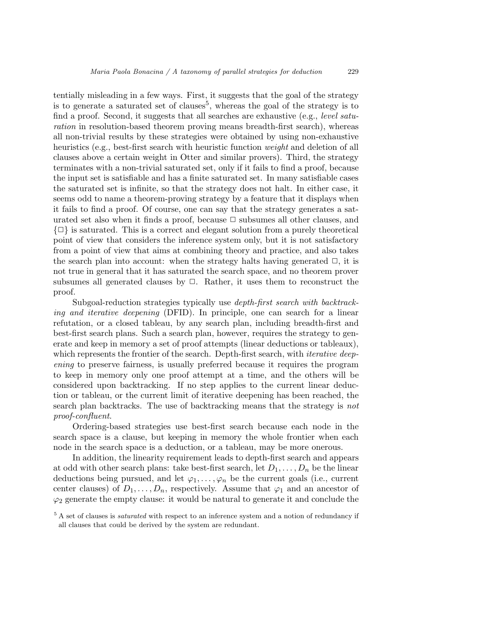tentially misleading in a few ways. First, it suggests that the goal of the strategy is to generate a saturated set of clauses<sup>5</sup>, whereas the goal of the strategy is to find a proof. Second, it suggests that all searches are exhaustive (e.g., *level satu*ration in resolution-based theorem proving means breadth-first search), whereas all non-trivial results by these strategies were obtained by using non-exhaustive heuristics (e.g., best-first search with heuristic function *weight* and deletion of all clauses above a certain weight in Otter and similar provers). Third, the strategy terminates with a non-trivial saturated set, only if it fails to find a proof, because the input set is satisfiable and has a finite saturated set. In many satisfiable cases the saturated set is infinite, so that the strategy does not halt. In either case, it seems odd to name a theorem-proving strategy by a feature that it displays when it fails to find a proof. Of course, one can say that the strategy generates a saturated set also when it finds a proof, because  $\Box$  subsumes all other clauses, and  $\{\Box\}$  is saturated. This is a correct and elegant solution from a purely theoretical point of view that considers the inference system only, but it is not satisfactory from a point of view that aims at combining theory and practice, and also takes the search plan into account: when the strategy halts having generated  $\Box$ , it is not true in general that it has saturated the search space, and no theorem prover subsumes all generated clauses by  $\Box$ . Rather, it uses them to reconstruct the proof.

Subgoal-reduction strategies typically use depth-first search with backtracking and iterative deepening (DFID). In principle, one can search for a linear refutation, or a closed tableau, by any search plan, including breadth-first and best-first search plans. Such a search plan, however, requires the strategy to generate and keep in memory a set of proof attempts (linear deductions or tableaux), which represents the frontier of the search. Depth-first search, with *iterative deep*ening to preserve fairness, is usually preferred because it requires the program to keep in memory only one proof attempt at a time, and the others will be considered upon backtracking. If no step applies to the current linear deduction or tableau, or the current limit of iterative deepening has been reached, the search plan backtracks. The use of backtracking means that the strategy is not proof-confluent.

Ordering-based strategies use best-first search because each node in the search space is a clause, but keeping in memory the whole frontier when each node in the search space is a deduction, or a tableau, may be more onerous.

In addition, the linearity requirement leads to depth-first search and appears at odd with other search plans: take best-first search, let  $D_1, \ldots, D_n$  be the linear deductions being pursued, and let  $\varphi_1, \ldots, \varphi_n$  be the current goals (i.e., current center clauses) of  $D_1, \ldots, D_n$ , respectively. Assume that  $\varphi_1$  and an ancestor of  $\varphi_2$  generate the empty clause: it would be natural to generate it and conclude the

 $5$  A set of clauses is *saturated* with respect to an inference system and a notion of redundancy if all clauses that could be derived by the system are redundant.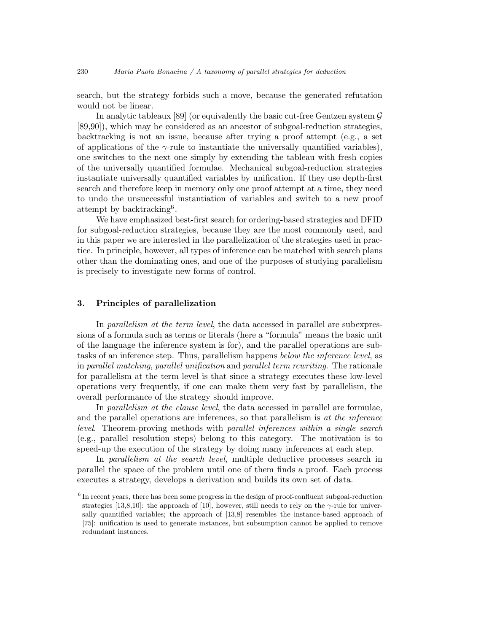search, but the strategy forbids such a move, because the generated refutation would not be linear.

In analytic tableaux [89] (or equivalently the basic cut-free Gentzen system  $\mathcal G$ [89,90]), which may be considered as an ancestor of subgoal-reduction strategies, backtracking is not an issue, because after trying a proof attempt (e.g., a set of applications of the  $\gamma$ -rule to instantiate the universally quantified variables), one switches to the next one simply by extending the tableau with fresh copies of the universally quantified formulae. Mechanical subgoal-reduction strategies instantiate universally quantified variables by unification. If they use depth-first search and therefore keep in memory only one proof attempt at a time, they need to undo the unsuccessful instantiation of variables and switch to a new proof attempt by backtracking<sup>6</sup>.

We have emphasized best-first search for ordering-based strategies and DFID for subgoal-reduction strategies, because they are the most commonly used, and in this paper we are interested in the parallelization of the strategies used in practice. In principle, however, all types of inference can be matched with search plans other than the dominating ones, and one of the purposes of studying parallelism is precisely to investigate new forms of control.

# 3. Principles of parallelization

In *parallelism at the term level*, the data accessed in parallel are subexpressions of a formula such as terms or literals (here a "formula" means the basic unit of the language the inference system is for), and the parallel operations are subtasks of an inference step. Thus, parallelism happens below the inference level, as in parallel matching, parallel unification and parallel term rewriting. The rationale for parallelism at the term level is that since a strategy executes these low-level operations very frequently, if one can make them very fast by parallelism, the overall performance of the strategy should improve.

In *parallelism at the clause level*, the data accessed in parallel are formulae, and the parallel operations are inferences, so that parallelism is at the inference level. Theorem-proving methods with parallel inferences within a single search (e.g., parallel resolution steps) belong to this category. The motivation is to speed-up the execution of the strategy by doing many inferences at each step.

In parallelism at the search level, multiple deductive processes search in parallel the space of the problem until one of them finds a proof. Each process executes a strategy, develops a derivation and builds its own set of data.

<sup>&</sup>lt;sup>6</sup> In recent years, there has been some progress in the design of proof-confluent subgoal-reduction strategies [13,8,10]: the approach of [10], however, still needs to rely on the  $\gamma$ -rule for universally quantified variables; the approach of [13,8] resembles the instance-based approach of [75]: unification is used to generate instances, but subsumption cannot be applied to remove redundant instances.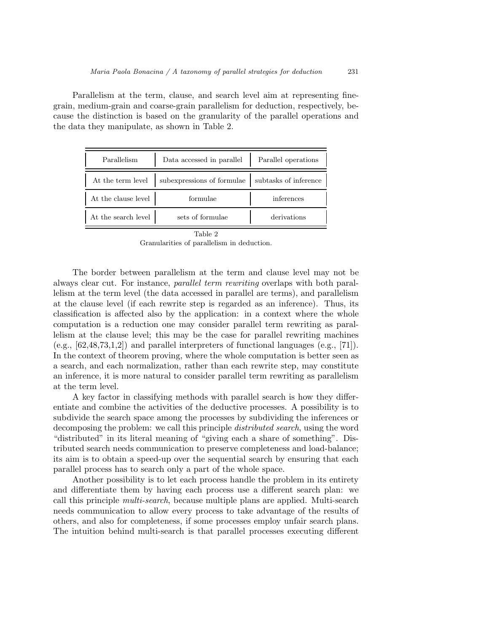Parallelism at the term, clause, and search level aim at representing finegrain, medium-grain and coarse-grain parallelism for deduction, respectively, because the distinction is based on the granularity of the parallel operations and the data they manipulate, as shown in Table 2.

| Parallelism         | Data accessed in parallel                                              | Parallel operations |  |
|---------------------|------------------------------------------------------------------------|---------------------|--|
|                     | At the term level   subexpressions of formulae   subtasks of inference |                     |  |
| At the clause level | formulae                                                               | inferences          |  |
| At the search level | sets of formulae                                                       | derivations         |  |

Table 2

Granularities of parallelism in deduction.

The border between parallelism at the term and clause level may not be always clear cut. For instance, parallel term rewriting overlaps with both parallelism at the term level (the data accessed in parallel are terms), and parallelism at the clause level (if each rewrite step is regarded as an inference). Thus, its classification is affected also by the application: in a context where the whole computation is a reduction one may consider parallel term rewriting as parallelism at the clause level; this may be the case for parallel rewriting machines (e.g.,  $[62,48,73,1,2]$ ) and parallel interpreters of functional languages (e.g., [71]). In the context of theorem proving, where the whole computation is better seen as a search, and each normalization, rather than each rewrite step, may constitute an inference, it is more natural to consider parallel term rewriting as parallelism at the term level.

A key factor in classifying methods with parallel search is how they differentiate and combine the activities of the deductive processes. A possibility is to subdivide the search space among the processes by subdividing the inferences or decomposing the problem: we call this principle distributed search, using the word "distributed" in its literal meaning of "giving each a share of something". Distributed search needs communication to preserve completeness and load-balance; its aim is to obtain a speed-up over the sequential search by ensuring that each parallel process has to search only a part of the whole space.

Another possibility is to let each process handle the problem in its entirety and differentiate them by having each process use a different search plan: we call this principle multi-search, because multiple plans are applied. Multi-search needs communication to allow every process to take advantage of the results of others, and also for completeness, if some processes employ unfair search plans. The intuition behind multi-search is that parallel processes executing different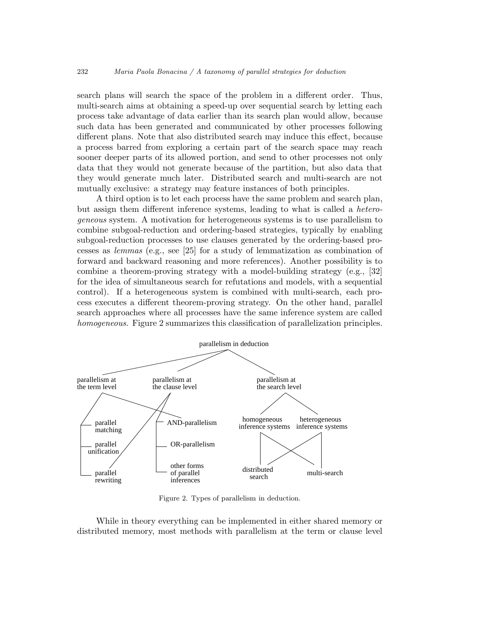search plans will search the space of the problem in a different order. Thus, multi-search aims at obtaining a speed-up over sequential search by letting each process take advantage of data earlier than its search plan would allow, because such data has been generated and communicated by other processes following different plans. Note that also distributed search may induce this effect, because a process barred from exploring a certain part of the search space may reach sooner deeper parts of its allowed portion, and send to other processes not only data that they would not generate because of the partition, but also data that they would generate much later. Distributed search and multi-search are not mutually exclusive: a strategy may feature instances of both principles.

A third option is to let each process have the same problem and search plan, but assign them different inference systems, leading to what is called a heterogeneous system. A motivation for heterogeneous systems is to use parallelism to combine subgoal-reduction and ordering-based strategies, typically by enabling subgoal-reduction processes to use clauses generated by the ordering-based processes as lemmas (e.g., see [25] for a study of lemmatization as combination of forward and backward reasoning and more references). Another possibility is to combine a theorem-proving strategy with a model-building strategy (e.g., [32] for the idea of simultaneous search for refutations and models, with a sequential control). If a heterogeneous system is combined with multi-search, each process executes a different theorem-proving strategy. On the other hand, parallel search approaches where all processes have the same inference system are called homogeneous. Figure 2 summarizes this classification of parallelization principles.



Figure 2. Types of parallelism in deduction.

While in theory everything can be implemented in either shared memory or distributed memory, most methods with parallelism at the term or clause level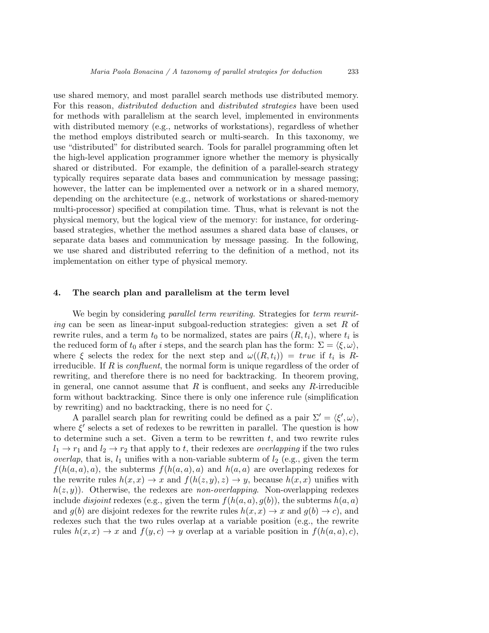use shared memory, and most parallel search methods use distributed memory. For this reason, distributed deduction and distributed strategies have been used for methods with parallelism at the search level, implemented in environments with distributed memory (e.g., networks of workstations), regardless of whether the method employs distributed search or multi-search. In this taxonomy, we use "distributed" for distributed search. Tools for parallel programming often let the high-level application programmer ignore whether the memory is physically shared or distributed. For example, the definition of a parallel-search strategy typically requires separate data bases and communication by message passing; however, the latter can be implemented over a network or in a shared memory, depending on the architecture (e.g., network of workstations or shared-memory multi-processor) specified at compilation time. Thus, what is relevant is not the physical memory, but the logical view of the memory: for instance, for orderingbased strategies, whether the method assumes a shared data base of clauses, or separate data bases and communication by message passing. In the following, we use shared and distributed referring to the definition of a method, not its implementation on either type of physical memory.

## 4. The search plan and parallelism at the term level

We begin by considering *parallel term rewriting*. Strategies for *term rewrit*ing can be seen as linear-input subgoal-reduction strategies: given a set R of rewrite rules, and a term  $t_0$  to be normalized, states are pairs  $(R, t_i)$ , where  $t_i$  is the reduced form of  $t_0$  after i steps, and the search plan has the form:  $\Sigma = \langle \xi, \omega \rangle$ , where  $\xi$  selects the redex for the next step and  $\omega((R, t_i)) = true$  if  $t_i$  is Rirreducible. If R is *confluent*, the normal form is unique regardless of the order of rewriting, and therefore there is no need for backtracking. In theorem proving, in general, one cannot assume that  $R$  is confluent, and seeks any  $R$ -irreducible form without backtracking. Since there is only one inference rule (simplification by rewriting) and no backtracking, there is no need for  $\zeta$ .

A parallel search plan for rewriting could be defined as a pair  $\Sigma' = \langle \xi', \omega \rangle$ , where  $\xi'$  selects a set of redexes to be rewritten in parallel. The question is how to determine such a set. Given a term to be rewritten  $t$ , and two rewrite rules  $l_1 \rightarrow r_1$  and  $l_2 \rightarrow r_2$  that apply to t, their redexes are *overlapping* if the two rules overlap, that is,  $l_1$  unifies with a non-variable subterm of  $l_2$  (e.g., given the term  $f(h(a, a), a)$ , the subterms  $f(h(a, a), a)$  and  $h(a, a)$  are overlapping redexes for the rewrite rules  $h(x, x) \to x$  and  $f(h(z, y), z) \to y$ , because  $h(x, x)$  unifies with  $h(z, y)$ . Otherwise, the redexes are non-overlapping. Non-overlapping redexes include *disjoint* redexes (e.g., given the term  $f(h(a, a), g(b))$ , the subterms  $h(a, a)$ and  $q(b)$  are disjoint redexes for the rewrite rules  $h(x, x) \to x$  and  $q(b) \to c$ , and redexes such that the two rules overlap at a variable position (e.g., the rewrite rules  $h(x, x) \to x$  and  $f(y, c) \to y$  overlap at a variable position in  $f(h(a, a), c)$ ,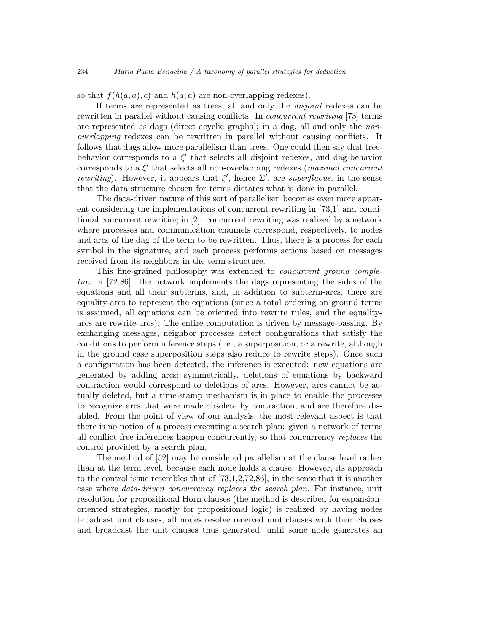so that  $f(h(a, a), c)$  and  $h(a, a)$  are non-overlapping redexes).

If terms are represented as trees, all and only the disjoint redexes can be rewritten in parallel without causing conflicts. In concurrent rewriting [73] terms are represented as dags (direct acyclic graphs); in a dag, all and only the nonoverlapping redexes can be rewritten in parallel without causing conflicts. It follows that dags allow more parallelism than trees. One could then say that treebehavior corresponds to a  $\xi'$  that selects all disjoint redexes, and dag-behavior corresponds to a  $\xi'$  that selects all non-overlapping redexes (maximal concurrent *rewriting*). However, it appears that  $\xi'$ , hence  $\Sigma'$ , are *superfluous*, in the sense that the data structure chosen for terms dictates what is done in parallel.

The data-driven nature of this sort of parallelism becomes even more apparent considering the implementations of concurrent rewriting in [73,1] and conditional concurrent rewriting in [2]: concurrent rewriting was realized by a network where processes and communication channels correspond, respectively, to nodes and arcs of the dag of the term to be rewritten. Thus, there is a process for each symbol in the signature, and each process performs actions based on messages received from its neighbors in the term structure.

This fine-grained philosophy was extended to concurrent ground completion in [72,86]: the network implements the dags representing the sides of the equations and all their subterms, and, in addition to subterm-arcs, there are equality-arcs to represent the equations (since a total ordering on ground terms is assumed, all equations can be oriented into rewrite rules, and the equalityarcs are rewrite-arcs). The entire computation is driven by message-passing. By exchanging messages, neighbor processes detect configurations that satisfy the conditions to perform inference steps (i.e., a superposition, or a rewrite, although in the ground case superposition steps also reduce to rewrite steps). Once such a configuration has been detected, the inference is executed: new equations are generated by adding arcs; symmetrically, deletions of equations by backward contraction would correspond to deletions of arcs. However, arcs cannot be actually deleted, but a time-stamp mechanism is in place to enable the processes to recognize arcs that were made obsolete by contraction, and are therefore disabled. From the point of view of our analysis, the most relevant aspect is that there is no notion of a process executing a search plan: given a network of terms all conflict-free inferences happen concurrently, so that concurrency replaces the control provided by a search plan.

The method of [52] may be considered parallelism at the clause level rather than at the term level, because each node holds a clause. However, its approach to the control issue resembles that of [73,1,2,72,86], in the sense that it is another case where data-driven concurrency replaces the search plan. For instance, unit resolution for propositional Horn clauses (the method is described for expansionoriented strategies, mostly for propositional logic) is realized by having nodes broadcast unit clauses; all nodes resolve received unit clauses with their clauses and broadcast the unit clauses thus generated, until some node generates an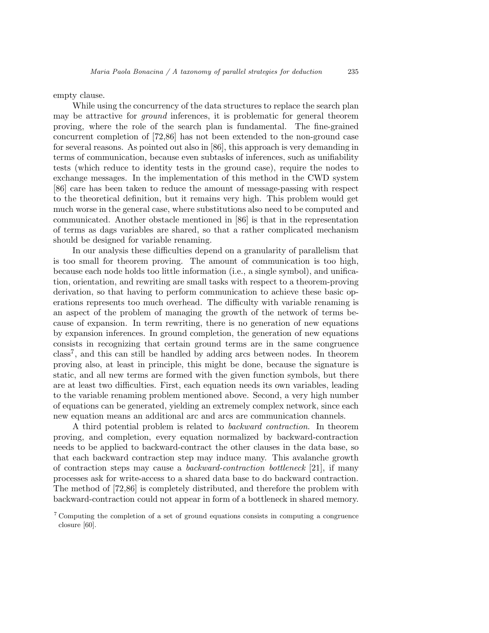empty clause.

While using the concurrency of the data structures to replace the search plan may be attractive for ground inferences, it is problematic for general theorem proving, where the role of the search plan is fundamental. The fine-grained concurrent completion of [72,86] has not been extended to the non-ground case for several reasons. As pointed out also in [86], this approach is very demanding in terms of communication, because even subtasks of inferences, such as unifiability tests (which reduce to identity tests in the ground case), require the nodes to exchange messages. In the implementation of this method in the CWD system [86] care has been taken to reduce the amount of message-passing with respect to the theoretical definition, but it remains very high. This problem would get much worse in the general case, where substitutions also need to be computed and communicated. Another obstacle mentioned in [86] is that in the representation of terms as dags variables are shared, so that a rather complicated mechanism should be designed for variable renaming.

In our analysis these difficulties depend on a granularity of parallelism that is too small for theorem proving. The amount of communication is too high, because each node holds too little information (i.e., a single symbol), and unification, orientation, and rewriting are small tasks with respect to a theorem-proving derivation, so that having to perform communication to achieve these basic operations represents too much overhead. The difficulty with variable renaming is an aspect of the problem of managing the growth of the network of terms because of expansion. In term rewriting, there is no generation of new equations by expansion inferences. In ground completion, the generation of new equations consists in recognizing that certain ground terms are in the same congruence class<sup>7</sup> , and this can still be handled by adding arcs between nodes. In theorem proving also, at least in principle, this might be done, because the signature is static, and all new terms are formed with the given function symbols, but there are at least two difficulties. First, each equation needs its own variables, leading to the variable renaming problem mentioned above. Second, a very high number of equations can be generated, yielding an extremely complex network, since each new equation means an additional arc and arcs are communication channels.

A third potential problem is related to backward contraction. In theorem proving, and completion, every equation normalized by backward-contraction needs to be applied to backward-contract the other clauses in the data base, so that each backward contraction step may induce many. This avalanche growth of contraction steps may cause a *backward-contraction bottleneck* [21], if many processes ask for write-access to a shared data base to do backward contraction. The method of [72,86] is completely distributed, and therefore the problem with backward-contraction could not appear in form of a bottleneck in shared memory.

<sup>7</sup> Computing the completion of a set of ground equations consists in computing a congruence closure [60].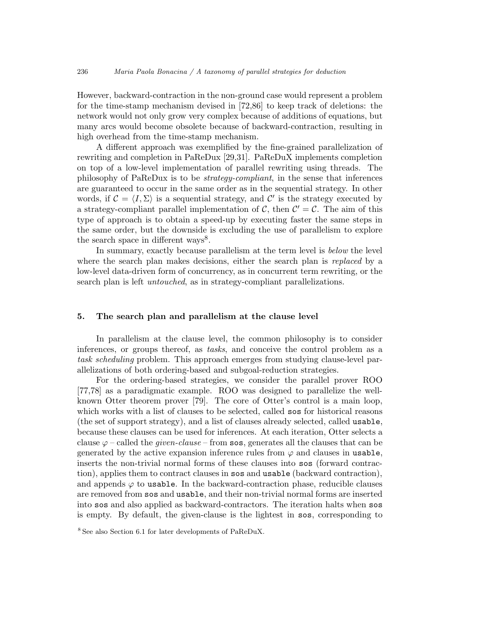However, backward-contraction in the non-ground case would represent a problem for the time-stamp mechanism devised in [72,86] to keep track of deletions: the network would not only grow very complex because of additions of equations, but many arcs would become obsolete because of backward-contraction, resulting in high overhead from the time-stamp mechanism.

A different approach was exemplified by the fine-grained parallelization of rewriting and completion in PaReDux [29,31]. PaReDuX implements completion on top of a low-level implementation of parallel rewriting using threads. The philosophy of PaReDux is to be strategy-compliant, in the sense that inferences are guaranteed to occur in the same order as in the sequential strategy. In other words, if  $\mathcal{C} = \langle I, \Sigma \rangle$  is a sequential strategy, and C' is the strategy executed by a strategy-compliant parallel implementation of C, then  $\mathcal{C}' = \mathcal{C}$ . The aim of this type of approach is to obtain a speed-up by executing faster the same steps in the same order, but the downside is excluding the use of parallelism to explore the search space in different ways<sup>8</sup>.

In summary, exactly because parallelism at the term level is below the level where the search plan makes decisions, either the search plan is replaced by a low-level data-driven form of concurrency, as in concurrent term rewriting, or the search plan is left untouched, as in strategy-compliant parallelizations.

# 5. The search plan and parallelism at the clause level

In parallelism at the clause level, the common philosophy is to consider inferences, or groups thereof, as tasks, and conceive the control problem as a task scheduling problem. This approach emerges from studying clause-level parallelizations of both ordering-based and subgoal-reduction strategies.

For the ordering-based strategies, we consider the parallel prover ROO [77,78] as a paradigmatic example. ROO was designed to parallelize the wellknown Otter theorem prover [79]. The core of Otter's control is a main loop, which works with a list of clauses to be selected, called sos for historical reasons (the set of support strategy), and a list of clauses already selected, called usable, because these clauses can be used for inferences. At each iteration, Otter selects a clause  $\varphi$  – called the *given-clause* – from sos, generates all the clauses that can be generated by the active expansion inference rules from  $\varphi$  and clauses in usable, inserts the non-trivial normal forms of these clauses into sos (forward contraction), applies them to contract clauses in sos and usable (backward contraction), and appends  $\varphi$  to usable. In the backward-contraction phase, reducible clauses are removed from sos and usable, and their non-trivial normal forms are inserted into sos and also applied as backward-contractors. The iteration halts when sos is empty. By default, the given-clause is the lightest in sos, corresponding to

<sup>8</sup> See also Section 6.1 for later developments of PaReDuX.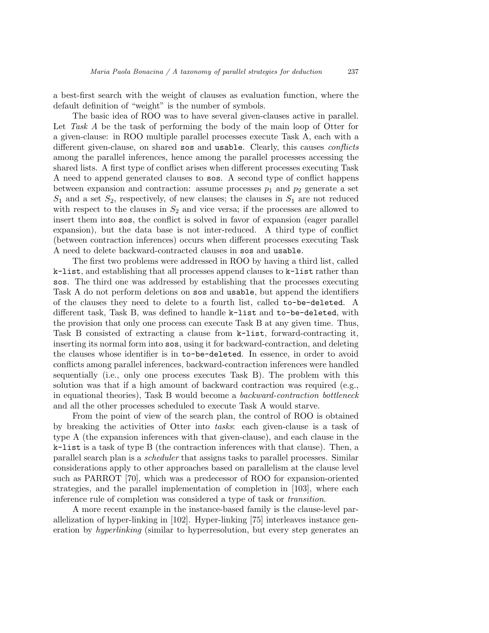a best-first search with the weight of clauses as evaluation function, where the default definition of "weight" is the number of symbols.

The basic idea of ROO was to have several given-clauses active in parallel. Let Task A be the task of performing the body of the main loop of Otter for a given-clause: in ROO multiple parallel processes execute Task A, each with a different given-clause, on shared sos and usable. Clearly, this causes *conflicts* among the parallel inferences, hence among the parallel processes accessing the shared lists. A first type of conflict arises when different processes executing Task A need to append generated clauses to sos. A second type of conflict happens between expansion and contraction: assume processes  $p_1$  and  $p_2$  generate a set  $S_1$  and a set  $S_2$ , respectively, of new clauses; the clauses in  $S_1$  are not reduced with respect to the clauses in  $S_2$  and vice versa; if the processes are allowed to insert them into sos, the conflict is solved in favor of expansion (eager parallel expansion), but the data base is not inter-reduced. A third type of conflict (between contraction inferences) occurs when different processes executing Task A need to delete backward-contracted clauses in sos and usable.

The first two problems were addressed in ROO by having a third list, called k-list, and establishing that all processes append clauses to k-list rather than sos. The third one was addressed by establishing that the processes executing Task A do not perform deletions on sos and usable, but append the identifiers of the clauses they need to delete to a fourth list, called to-be-deleted. A different task, Task B, was defined to handle k-list and to-be-deleted, with the provision that only one process can execute Task B at any given time. Thus, Task B consisted of extracting a clause from k-list, forward-contracting it, inserting its normal form into sos, using it for backward-contraction, and deleting the clauses whose identifier is in to-be-deleted. In essence, in order to avoid conflicts among parallel inferences, backward-contraction inferences were handled sequentially (i.e., only one process executes Task B). The problem with this solution was that if a high amount of backward contraction was required (e.g., in equational theories), Task B would become a backward-contraction bottleneck and all the other processes scheduled to execute Task A would starve.

From the point of view of the search plan, the control of ROO is obtained by breaking the activities of Otter into tasks: each given-clause is a task of type A (the expansion inferences with that given-clause), and each clause in the k-list is a task of type B (the contraction inferences with that clause). Then, a parallel search plan is a scheduler that assigns tasks to parallel processes. Similar considerations apply to other approaches based on parallelism at the clause level such as PARROT [70], which was a predecessor of ROO for expansion-oriented strategies, and the parallel implementation of completion in [103], where each inference rule of completion was considered a type of task or transition.

A more recent example in the instance-based family is the clause-level parallelization of hyper-linking in [102]. Hyper-linking [75] interleaves instance generation by *hyperlinking* (similar to hyperresolution, but every step generates an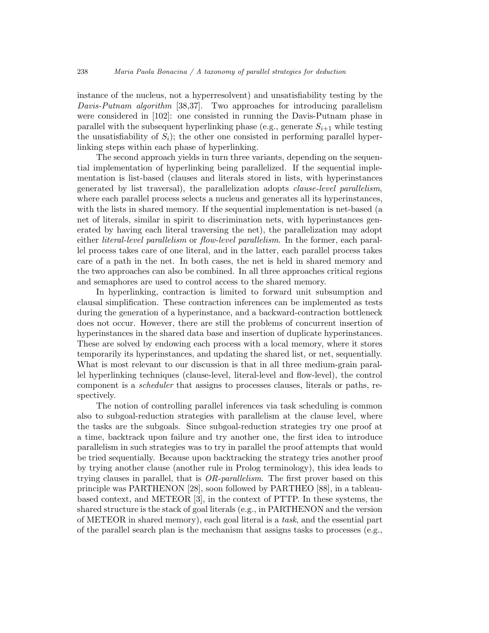instance of the nucleus, not a hyperresolvent) and unsatisfiability testing by the Davis-Putnam algorithm [38,37]. Two approaches for introducing parallelism were considered in [102]: one consisted in running the Davis-Putnam phase in parallel with the subsequent hyperlinking phase (e.g., generate  $S_{i+1}$  while testing the unsatisfiability of  $S_i$ ); the other one consisted in performing parallel hyperlinking steps within each phase of hyperlinking.

The second approach yields in turn three variants, depending on the sequential implementation of hyperlinking being parallelized. If the sequential implementation is list-based (clauses and literals stored in lists, with hyperinstances generated by list traversal), the parallelization adopts clause-level parallelism, where each parallel process selects a nucleus and generates all its hyperinstances, with the lists in shared memory. If the sequential implementation is net-based (a net of literals, similar in spirit to discrimination nets, with hyperinstances generated by having each literal traversing the net), the parallelization may adopt either *literal-level parallelism* or *flow-level parallelism*. In the former, each parallel process takes care of one literal, and in the latter, each parallel process takes care of a path in the net. In both cases, the net is held in shared memory and the two approaches can also be combined. In all three approaches critical regions and semaphores are used to control access to the shared memory.

In hyperlinking, contraction is limited to forward unit subsumption and clausal simplification. These contraction inferences can be implemented as tests during the generation of a hyperinstance, and a backward-contraction bottleneck does not occur. However, there are still the problems of concurrent insertion of hyperinstances in the shared data base and insertion of duplicate hyperinstances. These are solved by endowing each process with a local memory, where it stores temporarily its hyperinstances, and updating the shared list, or net, sequentially. What is most relevant to our discussion is that in all three medium-grain parallel hyperlinking techniques (clause-level, literal-level and flow-level), the control component is a scheduler that assigns to processes clauses, literals or paths, respectively.

The notion of controlling parallel inferences via task scheduling is common also to subgoal-reduction strategies with parallelism at the clause level, where the tasks are the subgoals. Since subgoal-reduction strategies try one proof at a time, backtrack upon failure and try another one, the first idea to introduce parallelism in such strategies was to try in parallel the proof attempts that would be tried sequentially. Because upon backtracking the strategy tries another proof by trying another clause (another rule in Prolog terminology), this idea leads to trying clauses in parallel, that is OR-parallelism. The first prover based on this principle was PARTHENON [28], soon followed by PARTHEO [88], in a tableaubased context, and METEOR [3], in the context of PTTP. In these systems, the shared structure is the stack of goal literals (e.g., in PARTHENON and the version of METEOR in shared memory), each goal literal is a task, and the essential part of the parallel search plan is the mechanism that assigns tasks to processes (e.g.,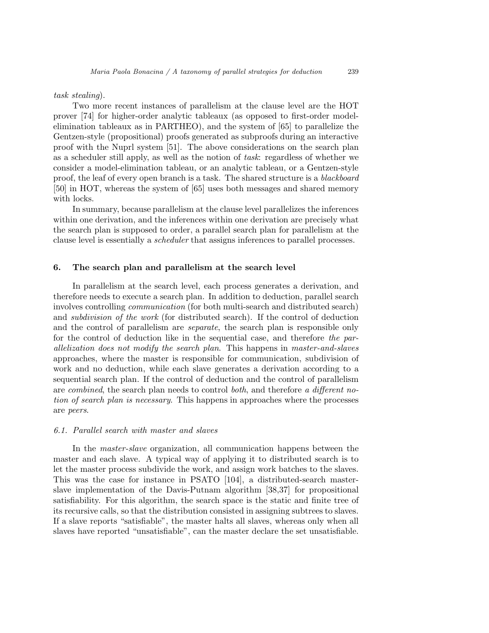task stealing).

Two more recent instances of parallelism at the clause level are the HOT prover [74] for higher-order analytic tableaux (as opposed to first-order modelelimination tableaux as in PARTHEO), and the system of [65] to parallelize the Gentzen-style (propositional) proofs generated as subproofs during an interactive proof with the Nuprl system [51]. The above considerations on the search plan as a scheduler still apply, as well as the notion of task: regardless of whether we consider a model-elimination tableau, or an analytic tableau, or a Gentzen-style proof, the leaf of every open branch is a task. The shared structure is a blackboard [50] in HOT, whereas the system of [65] uses both messages and shared memory with locks.

In summary, because parallelism at the clause level parallelizes the inferences within one derivation, and the inferences within one derivation are precisely what the search plan is supposed to order, a parallel search plan for parallelism at the clause level is essentially a scheduler that assigns inferences to parallel processes.

## 6. The search plan and parallelism at the search level

In parallelism at the search level, each process generates a derivation, and therefore needs to execute a search plan. In addition to deduction, parallel search involves controlling communication (for both multi-search and distributed search) and subdivision of the work (for distributed search). If the control of deduction and the control of parallelism are separate, the search plan is responsible only for the control of deduction like in the sequential case, and therefore the parallelization does not modify the search plan. This happens in master-and-slaves approaches, where the master is responsible for communication, subdivision of work and no deduction, while each slave generates a derivation according to a sequential search plan. If the control of deduction and the control of parallelism are combined, the search plan needs to control both, and therefore a different notion of search plan is necessary. This happens in approaches where the processes are peers.

#### 6.1. Parallel search with master and slaves

In the master-slave organization, all communication happens between the master and each slave. A typical way of applying it to distributed search is to let the master process subdivide the work, and assign work batches to the slaves. This was the case for instance in PSATO [104], a distributed-search masterslave implementation of the Davis-Putnam algorithm [38,37] for propositional satisfiability. For this algorithm, the search space is the static and finite tree of its recursive calls, so that the distribution consisted in assigning subtrees to slaves. If a slave reports "satisfiable", the master halts all slaves, whereas only when all slaves have reported "unsatisfiable", can the master declare the set unsatisfiable.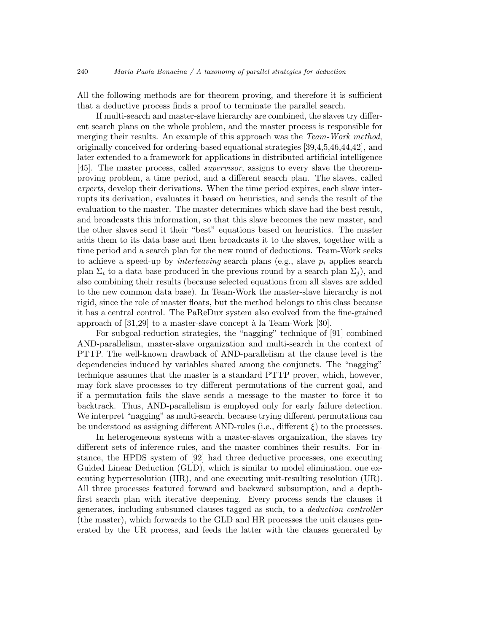All the following methods are for theorem proving, and therefore it is sufficient that a deductive process finds a proof to terminate the parallel search.

If multi-search and master-slave hierarchy are combined, the slaves try different search plans on the whole problem, and the master process is responsible for merging their results. An example of this approach was the Team-Work method, originally conceived for ordering-based equational strategies [39,4,5,46,44,42], and later extended to a framework for applications in distributed artificial intelligence [45]. The master process, called supervisor, assigns to every slave the theoremproving problem, a time period, and a different search plan. The slaves, called experts, develop their derivations. When the time period expires, each slave interrupts its derivation, evaluates it based on heuristics, and sends the result of the evaluation to the master. The master determines which slave had the best result, and broadcasts this information, so that this slave becomes the new master, and the other slaves send it their "best" equations based on heuristics. The master adds them to its data base and then broadcasts it to the slaves, together with a time period and a search plan for the new round of deductions. Team-Work seeks to achieve a speed-up by *interleaving* search plans (e.g., slave  $p_i$  applies search plan  $\Sigma_i$  to a data base produced in the previous round by a search plan  $\Sigma_j$ ), and also combining their results (because selected equations from all slaves are added to the new common data base). In Team-Work the master-slave hierarchy is not rigid, since the role of master floats, but the method belongs to this class because it has a central control. The PaReDux system also evolved from the fine-grained approach of  $[31,29]$  to a master-slave concept à la Team-Work  $[30]$ .

For subgoal-reduction strategies, the "nagging" technique of [91] combined AND-parallelism, master-slave organization and multi-search in the context of PTTP. The well-known drawback of AND-parallelism at the clause level is the dependencies induced by variables shared among the conjuncts. The "nagging" technique assumes that the master is a standard PTTP prover, which, however, may fork slave processes to try different permutations of the current goal, and if a permutation fails the slave sends a message to the master to force it to backtrack. Thus, AND-parallelism is employed only for early failure detection. We interpret "nagging" as multi-search, because trying different permutations can be understood as assigning different AND-rules (i.e., different  $\xi$ ) to the processes.

In heterogeneous systems with a master-slaves organization, the slaves try different sets of inference rules, and the master combines their results. For instance, the HPDS system of [92] had three deductive processes, one executing Guided Linear Deduction (GLD), which is similar to model elimination, one executing hyperresolution (HR), and one executing unit-resulting resolution (UR). All three processes featured forward and backward subsumption, and a depthfirst search plan with iterative deepening. Every process sends the clauses it generates, including subsumed clauses tagged as such, to a deduction controller (the master), which forwards to the GLD and HR processes the unit clauses generated by the UR process, and feeds the latter with the clauses generated by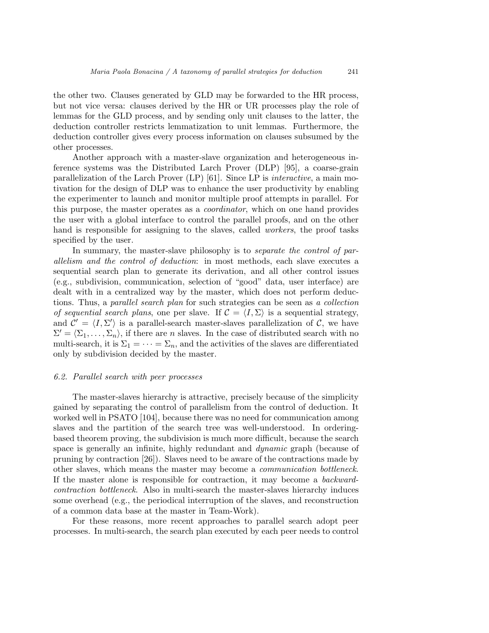the other two. Clauses generated by GLD may be forwarded to the HR process, but not vice versa: clauses derived by the HR or UR processes play the role of lemmas for the GLD process, and by sending only unit clauses to the latter, the deduction controller restricts lemmatization to unit lemmas. Furthermore, the deduction controller gives every process information on clauses subsumed by the other processes.

Another approach with a master-slave organization and heterogeneous inference systems was the Distributed Larch Prover (DLP) [95], a coarse-grain parallelization of the Larch Prover (LP) [61]. Since LP is interactive, a main motivation for the design of DLP was to enhance the user productivity by enabling the experimenter to launch and monitor multiple proof attempts in parallel. For this purpose, the master operates as a coordinator, which on one hand provides the user with a global interface to control the parallel proofs, and on the other hand is responsible for assigning to the slaves, called *workers*, the proof tasks specified by the user.

In summary, the master-slave philosophy is to *separate the control of par*allelism and the control of deduction: in most methods, each slave executes a sequential search plan to generate its derivation, and all other control issues (e.g., subdivision, communication, selection of "good" data, user interface) are dealt with in a centralized way by the master, which does not perform deductions. Thus, a *parallel search plan* for such strategies can be seen as a collection of sequential search plans, one per slave. If  $\mathcal{C} = \langle I, \Sigma \rangle$  is a sequential strategy, and  $\mathcal{C}' = \langle I, \Sigma' \rangle$  is a parallel-search master-slaves parallelization of C, we have  $\Sigma' = \langle \Sigma_1, \ldots, \Sigma_n \rangle$ , if there are n slaves. In the case of distributed search with no multi-search, it is  $\Sigma_1 = \cdots = \Sigma_n$ , and the activities of the slaves are differentiated only by subdivision decided by the master.

#### 6.2. Parallel search with peer processes

The master-slaves hierarchy is attractive, precisely because of the simplicity gained by separating the control of parallelism from the control of deduction. It worked well in PSATO [104], because there was no need for communication among slaves and the partition of the search tree was well-understood. In orderingbased theorem proving, the subdivision is much more difficult, because the search space is generally an infinite, highly redundant and *dynamic* graph (because of pruning by contraction [26]). Slaves need to be aware of the contractions made by other slaves, which means the master may become a communication bottleneck. If the master alone is responsible for contraction, it may become a backwardcontraction bottleneck. Also in multi-search the master-slaves hierarchy induces some overhead (e.g., the periodical interruption of the slaves, and reconstruction of a common data base at the master in Team-Work).

For these reasons, more recent approaches to parallel search adopt peer processes. In multi-search, the search plan executed by each peer needs to control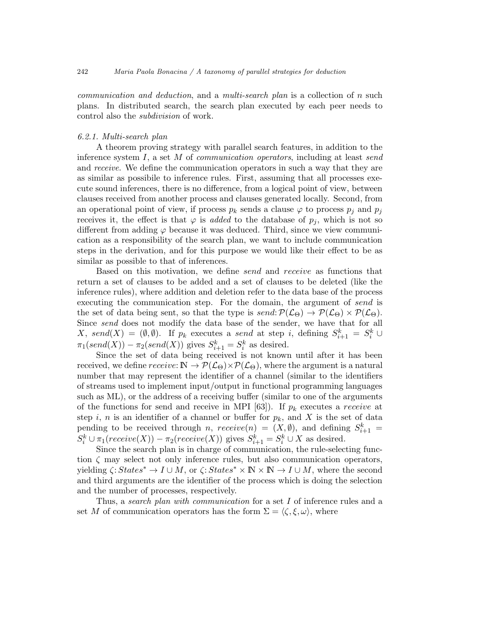communication and deduction, and a multi-search plan is a collection of n such plans. In distributed search, the search plan executed by each peer needs to control also the subdivision of work.

#### 6.2.1. Multi-search plan

A theorem proving strategy with parallel search features, in addition to the inference system  $I$ , a set  $M$  of *communication operators*, including at least send and receive. We define the communication operators in such a way that they are as similar as possibile to inference rules. First, assuming that all processes execute sound inferences, there is no difference, from a logical point of view, between clauses received from another process and clauses generated locally. Second, from an operational point of view, if process  $p_k$  sends a clause  $\varphi$  to process  $p_j$  and  $p_j$ receives it, the effect is that  $\varphi$  is added to the database of  $p_i$ , which is not so different from adding  $\varphi$  because it was deduced. Third, since we view communication as a responsibility of the search plan, we want to include communication steps in the derivation, and for this purpose we would like their effect to be as similar as possible to that of inferences.

Based on this motivation, we define send and receive as functions that return a set of clauses to be added and a set of clauses to be deleted (like the inference rules), where addition and deletion refer to the data base of the process executing the communication step. For the domain, the argument of send is the set of data being sent, so that the type is  $send: \mathcal{P}(\mathcal{L}_{\Theta}) \to \mathcal{P}(\mathcal{L}_{\Theta}) \times \mathcal{P}(\mathcal{L}_{\Theta}).$ Since send does not modify the data base of the sender, we have that for all  $X, send(X) = (\emptyset, \emptyset)$ . If  $p_k$  executes a send at step i, defining  $S_{i+1}^k = S_i^k \cup$  $\pi_1(send(X)) - \pi_2(send(X))$  gives  $S_{i+1}^k = S_i^k$  as desired.

Since the set of data being received is not known until after it has been received, we define receive:  $\mathbb{N} \to \mathcal{P}(\mathcal{L}_{\Theta}) \times \mathcal{P}(\mathcal{L}_{\Theta})$ , where the argument is a natural number that may represent the identifier of a channel (similar to the identifiers of streams used to implement input/output in functional programming languages such as ML), or the address of a receiving buffer (similar to one of the arguments of the functions for send and receive in MPI [63]). If  $p_k$  executes a receive at step i, n is an identifier of a channel or buffer for  $p_k$ , and X is the set of data pending to be received through n,  $receive(n) = (X, \emptyset)$ , and defining  $S_{i+1}^k =$  $S_i^k \cup \pi_1(receive(X)) - \pi_2(receive(X))$  gives  $S_{i+1}^k = S_i^k \cup X$  as desired.

Since the search plan is in charge of communication, the rule-selecting function  $\zeta$  may select not only inference rules, but also communication operators, yielding  $\zeta: States^* \to I \cup M$ , or  $\zeta: States^* \times \mathbb{N} \times \mathbb{N} \to I \cup M$ , where the second and third arguments are the identifier of the process which is doing the selection and the number of processes, respectively.

Thus, a *search plan with communication* for a set I of inference rules and a set M of communication operators has the form  $\Sigma = \langle \zeta, \xi, \omega \rangle$ , where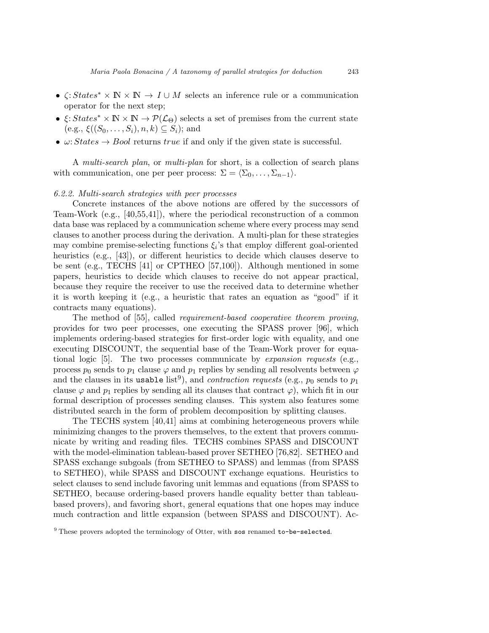- $\zeta: States^* \times \mathbb{N} \times \mathbb{N} \to I \cup M$  selects an inference rule or a communication operator for the next step;
- $\xi: States^* \times \mathbb{N} \times \mathbb{N} \to \mathcal{P}(\mathcal{L}_{\Theta})$  selects a set of premises from the current state  $(e.g., \xi((S_0,\ldots,S_i),n,k)\subseteq S_i);$  and
- $\omega$ : States  $\rightarrow$  Bool returns true if and only if the given state is successful.

A multi-search plan, or multi-plan for short, is a collection of search plans with communication, one per peer process:  $\Sigma = \langle \Sigma_0, \ldots, \Sigma_{n-1} \rangle$ .

#### 6.2.2. Multi-search strategies with peer processes

Concrete instances of the above notions are offered by the successors of Team-Work (e.g., [40,55,41]), where the periodical reconstruction of a common data base was replaced by a communication scheme where every process may send clauses to another process during the derivation. A multi-plan for these strategies may combine premise-selecting functions  $\xi_i$ 's that employ different goal-oriented heuristics (e.g., [43]), or different heuristics to decide which clauses deserve to be sent (e.g., TECHS [41] or CPTHEO [57,100]). Although mentioned in some papers, heuristics to decide which clauses to receive do not appear practical, because they require the receiver to use the received data to determine whether it is worth keeping it (e.g., a heuristic that rates an equation as "good" if it contracts many equations).

The method of [55], called requirement-based cooperative theorem proving, provides for two peer processes, one executing the SPASS prover [96], which implements ordering-based strategies for first-order logic with equality, and one executing DISCOUNT, the sequential base of the Team-Work prover for equational logic  $[5]$ . The two processes communicate by *expansion requests* (e.g., process  $p_0$  sends to  $p_1$  clause  $\varphi$  and  $p_1$  replies by sending all resolvents between  $\varphi$ and the clauses in its usable list<sup>9</sup>), and *contraction requests* (e.g.,  $p_0$  sends to  $p_1$ clause  $\varphi$  and  $p_1$  replies by sending all its clauses that contract  $\varphi$ ), which fit in our formal description of processes sending clauses. This system also features some distributed search in the form of problem decomposition by splitting clauses.

The TECHS system [40,41] aims at combining heterogeneous provers while minimizing changes to the provers themselves, to the extent that provers communicate by writing and reading files. TECHS combines SPASS and DISCOUNT with the model-elimination tableau-based prover SETHEO [76,82]. SETHEO and SPASS exchange subgoals (from SETHEO to SPASS) and lemmas (from SPASS to SETHEO), while SPASS and DISCOUNT exchange equations. Heuristics to select clauses to send include favoring unit lemmas and equations (from SPASS to SETHEO, because ordering-based provers handle equality better than tableaubased provers), and favoring short, general equations that one hopes may induce much contraction and little expansion (between SPASS and DISCOUNT). Ac-

 $9$  These provers adopted the terminology of Otter, with sos renamed to-be-selected.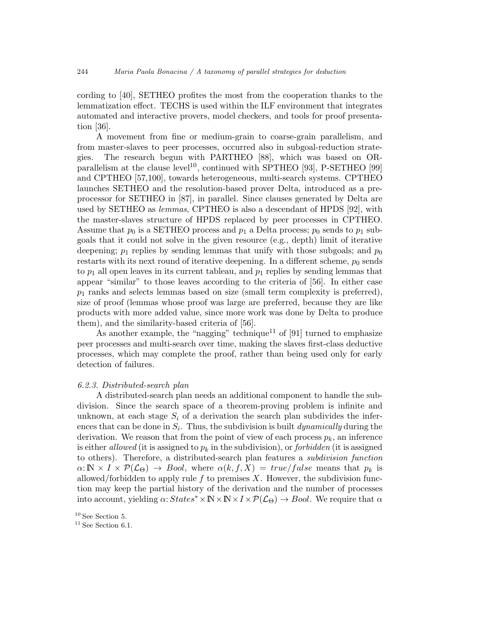cording to [40], SETHEO profites the most from the cooperation thanks to the lemmatization effect. TECHS is used within the ILF environment that integrates automated and interactive provers, model checkers, and tools for proof presentation [36].

A movement from fine or medium-grain to coarse-grain parallelism, and from master-slaves to peer processes, occurred also in subgoal-reduction strategies. The research begun with PARTHEO [88], which was based on ORparallelism at the clause level<sup>10</sup>, continued with SPTHEO [93], P-SETHEO [99] and CPTHEO [57,100], towards heterogeneous, multi-search systems. CPTHEO launches SETHEO and the resolution-based prover Delta, introduced as a preprocessor for SETHEO in [87], in parallel. Since clauses generated by Delta are used by SETHEO as lemmas, CPTHEO is also a descendant of HPDS [92], with the master-slaves structure of HPDS replaced by peer processes in CPTHEO. Assume that  $p_0$  is a SETHEO process and  $p_1$  a Delta process;  $p_0$  sends to  $p_1$  subgoals that it could not solve in the given resource (e.g., depth) limit of iterative deepening;  $p_1$  replies by sending lemmas that unify with those subgoals; and  $p_0$ restarts with its next round of iterative deepening. In a different scheme,  $p_0$  sends to  $p_1$  all open leaves in its current tableau, and  $p_1$  replies by sending lemmas that appear "similar" to those leaves according to the criteria of [56]. In either case  $p_1$  ranks and selects lemmas based on size (small term complexity is preferred), size of proof (lemmas whose proof was large are preferred, because they are like products with more added value, since more work was done by Delta to produce them), and the similarity-based criteria of [56].

As another example, the "nagging" technique<sup>11</sup> of [91] turned to emphasize peer processes and multi-search over time, making the slaves first-class deductive processes, which may complete the proof, rather than being used only for early detection of failures.

#### 6.2.3. Distributed-search plan

A distributed-search plan needs an additional component to handle the subdivision. Since the search space of a theorem-proving problem is infinite and unknown, at each stage  $S_i$  of a derivation the search plan subdivides the inferences that can be done in  $S_i$ . Thus, the subdivision is built *dynamically* during the derivation. We reason that from the point of view of each process  $p_k$ , an inference is either allowed (it is assigned to  $p_k$  in the subdivision), or forbidden (it is assigned to others). Therefore, a distributed-search plan features a subdivision function  $\alpha: \mathbb{N} \times I \times \mathcal{P}(\mathcal{L}_{\Theta}) \rightarrow \text{Bool}$ , where  $\alpha(k, f, X) = \text{true}/\text{false}$  means that  $p_k$  is allowed/forbidden to apply rule f to premises  $X$ . However, the subdivision function may keep the partial history of the derivation and the number of processes into account, yielding  $\alpha: States^* \times \mathbb{N} \times \mathbb{N} \times I \times \mathcal{P}(\mathcal{L}_{\Theta}) \rightarrow Bool.$  We require that  $\alpha$ 

 $\real^{10}$  See Section 5.

 $11$  See Section 6.1.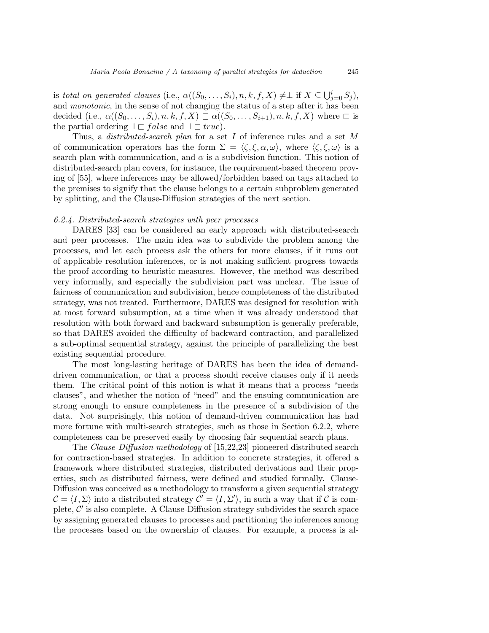is total on generated clauses (i.e.,  $\alpha((S_0, \ldots, S_i), n, k, f, X) \neq \perp$  if  $X \subseteq \bigcup_{j=0}^i S_j$ ), and *monotonic*, in the sense of not changing the status of a step after it has been decided (i.e.,  $\alpha((S_0,\ldots,S_i), n, k, f, X) \sqsubseteq \alpha((S_0,\ldots,S_{i+1}), n, k, f, X)$  where  $\sqsubset$  is the partial ordering  $\bot \sqsubset false$  and  $\bot \sqsubset true$ .

Thus, a *distributed-search plan* for a set I of inference rules and a set M of communication operators has the form  $\Sigma = \langle \zeta, \xi, \alpha, \omega \rangle$ , where  $\langle \zeta, \xi, \omega \rangle$  is a search plan with communication, and  $\alpha$  is a subdivision function. This notion of distributed-search plan covers, for instance, the requirement-based theorem proving of [55], where inferences may be allowed/forbidden based on tags attached to the premises to signify that the clause belongs to a certain subproblem generated by splitting, and the Clause-Diffusion strategies of the next section.

## 6.2.4. Distributed-search strategies with peer processes

DARES [33] can be considered an early approach with distributed-search and peer processes. The main idea was to subdivide the problem among the processes, and let each process ask the others for more clauses, if it runs out of applicable resolution inferences, or is not making sufficient progress towards the proof according to heuristic measures. However, the method was described very informally, and especially the subdivision part was unclear. The issue of fairness of communication and subdivision, hence completeness of the distributed strategy, was not treated. Furthermore, DARES was designed for resolution with at most forward subsumption, at a time when it was already understood that resolution with both forward and backward subsumption is generally preferable, so that DARES avoided the difficulty of backward contraction, and parallelized a sub-optimal sequential strategy, against the principle of parallelizing the best existing sequential procedure.

The most long-lasting heritage of DARES has been the idea of demanddriven communication, or that a process should receive clauses only if it needs them. The critical point of this notion is what it means that a process "needs clauses", and whether the notion of "need" and the ensuing communication are strong enough to ensure completeness in the presence of a subdivision of the data. Not surprisingly, this notion of demand-driven communication has had more fortune with multi-search strategies, such as those in Section 6.2.2, where completeness can be preserved easily by choosing fair sequential search plans.

The Clause-Diffusion methodology of [15,22,23] pioneered distributed search for contraction-based strategies. In addition to concrete strategies, it offered a framework where distributed strategies, distributed derivations and their properties, such as distributed fairness, were defined and studied formally. Clause-Diffusion was conceived as a methodology to transform a given sequential strategy  $\mathcal{C} = \langle I, \Sigma \rangle$  into a distributed strategy  $\overline{\mathcal{C}'} = \langle I, \Sigma' \rangle$ , in such a way that if C is complete,  $\mathcal{C}'$  is also complete. A Clause-Diffusion strategy subdivides the search space by assigning generated clauses to processes and partitioning the inferences among the processes based on the ownership of clauses. For example, a process is al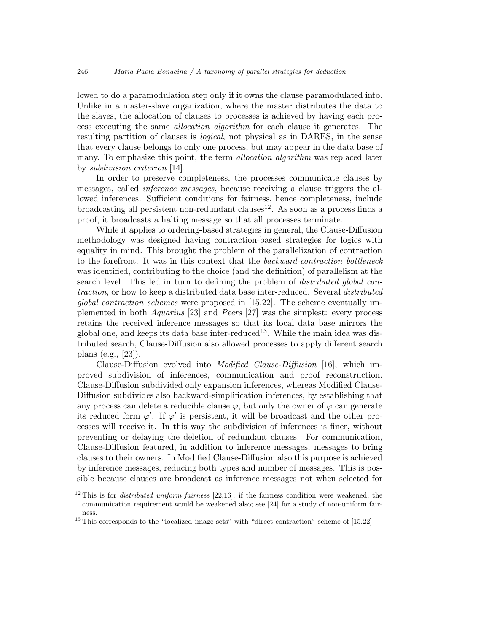lowed to do a paramodulation step only if it owns the clause paramodulated into. Unlike in a master-slave organization, where the master distributes the data to the slaves, the allocation of clauses to processes is achieved by having each process executing the same allocation algorithm for each clause it generates. The resulting partition of clauses is logical, not physical as in DARES, in the sense that every clause belongs to only one process, but may appear in the data base of many. To emphasize this point, the term *allocation algorithm* was replaced later by subdivision criterion [14].

In order to preserve completeness, the processes communicate clauses by messages, called inference messages, because receiving a clause triggers the allowed inferences. Sufficient conditions for fairness, hence completeness, include broadcasting all persistent non-redundant clauses<sup>12</sup>. As soon as a process finds a proof, it broadcasts a halting message so that all processes terminate.

While it applies to ordering-based strategies in general, the Clause-Diffusion methodology was designed having contraction-based strategies for logics with equality in mind. This brought the problem of the parallelization of contraction to the forefront. It was in this context that the backward-contraction bottleneck was identified, contributing to the choice (and the definition) of parallelism at the search level. This led in turn to defining the problem of distributed global contraction, or how to keep a distributed data base inter-reduced. Several distributed global contraction schemes were proposed in [15,22]. The scheme eventually implemented in both Aquarius [23] and Peers [27] was the simplest: every process retains the received inference messages so that its local data base mirrors the global one, and keeps its data base inter-reduced<sup>13</sup>. While the main idea was distributed search, Clause-Diffusion also allowed processes to apply different search plans (e.g., [23]).

Clause-Diffusion evolved into Modified Clause-Diffusion [16], which improved subdivision of inferences, communication and proof reconstruction. Clause-Diffusion subdivided only expansion inferences, whereas Modified Clause-Diffusion subdivides also backward-simplification inferences, by establishing that any process can delete a reducible clause  $\varphi$ , but only the owner of  $\varphi$  can generate its reduced form  $\varphi'$ . If  $\varphi'$  is persistent, it will be broadcast and the other processes will receive it. In this way the subdivision of inferences is finer, without preventing or delaying the deletion of redundant clauses. For communication, Clause-Diffusion featured, in addition to inference messages, messages to bring clauses to their owners. In Modified Clause-Diffusion also this purpose is achieved by inference messages, reducing both types and number of messages. This is possible because clauses are broadcast as inference messages not when selected for

<sup>&</sup>lt;sup>12</sup> This is for *distributed uniform fairness* [22,16]; if the fairness condition were weakened, the communication requirement would be weakened also; see [24] for a study of non-uniform fairness.

<sup>&</sup>lt;sup>13</sup> This corresponds to the "localized image sets" with "direct contraction" scheme of [15,22].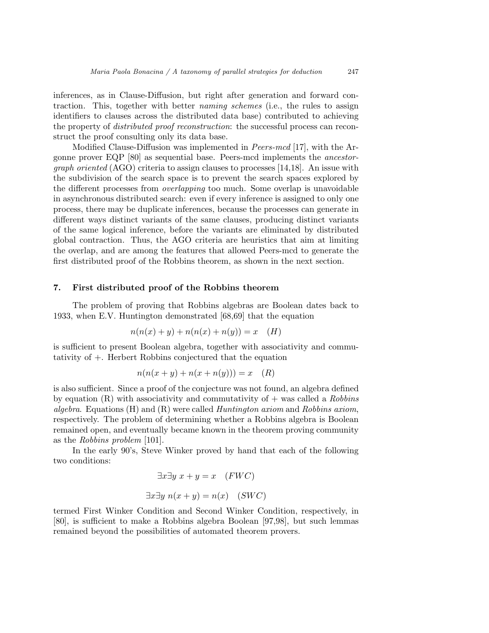inferences, as in Clause-Diffusion, but right after generation and forward contraction. This, together with better naming schemes (i.e., the rules to assign identifiers to clauses across the distributed data base) contributed to achieving the property of distributed proof reconstruction: the successful process can reconstruct the proof consulting only its data base.

Modified Clause-Diffusion was implemented in Peers-mcd [17], with the Argonne prover  $EQP [80]$  as sequential base. Peers-mcd implements the *ancestorgraph oriented* (AGO) criteria to assign clauses to processes [14,18]. An issue with the subdivision of the search space is to prevent the search spaces explored by the different processes from overlapping too much. Some overlap is unavoidable in asynchronous distributed search: even if every inference is assigned to only one process, there may be duplicate inferences, because the processes can generate in different ways distinct variants of the same clauses, producing distinct variants of the same logical inference, before the variants are eliminated by distributed global contraction. Thus, the AGO criteria are heuristics that aim at limiting the overlap, and are among the features that allowed Peers-mcd to generate the first distributed proof of the Robbins theorem, as shown in the next section.

#### 7. First distributed proof of the Robbins theorem

The problem of proving that Robbins algebras are Boolean dates back to 1933, when E.V. Huntington demonstrated [68,69] that the equation

$$
n(n(x) + y) + n(n(x) + n(y)) = x \quad (H)
$$

is sufficient to present Boolean algebra, together with associativity and commutativity of +. Herbert Robbins conjectured that the equation

$$
n(n(x + y) + n(x + n(y))) = x \quad (R)
$$

is also sufficient. Since a proof of the conjecture was not found, an algebra defined by equation  $(R)$  with associativity and commutativity of  $+$  was called a Robbins algebra. Equations  $(H)$  and  $(R)$  were called Huntington axiom and Robbins axiom, respectively. The problem of determining whether a Robbins algebra is Boolean remained open, and eventually became known in the theorem proving community as the Robbins problem [101].

In the early 90's, Steve Winker proved by hand that each of the following two conditions:

$$
\exists x \exists y \ x + y = x \quad (FWC)
$$

$$
\exists x \exists y \ n(x + y) = n(x) \quad (SWC)
$$

termed First Winker Condition and Second Winker Condition, respectively, in [80], is sufficient to make a Robbins algebra Boolean [97,98], but such lemmas remained beyond the possibilities of automated theorem provers.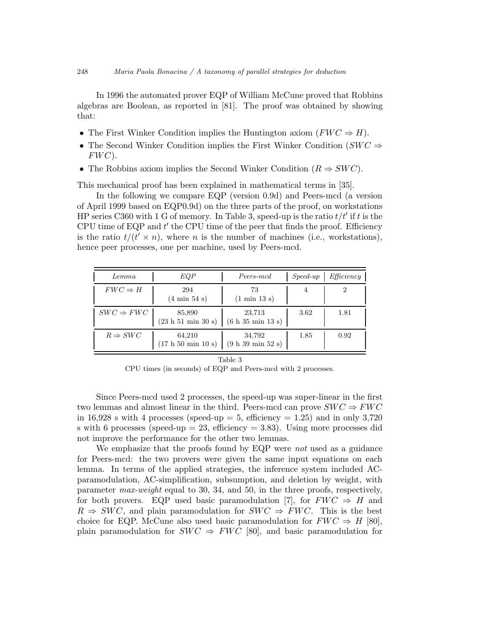In 1996 the automated prover EQP of William McCune proved that Robbins algebras are Boolean, as reported in [81]. The proof was obtained by showing that:

- The First Winker Condition implies the Huntington axiom  $(FWC \Rightarrow H)$ .
- The Second Winker Condition implies the First Winker Condition ( $SWC \Rightarrow$  $FWC$ ).
- The Robbins axiom implies the Second Winker Condition  $(R \Rightarrow SWC)$ .

This mechanical proof has been explained in mathematical terms in [35].

In the following we compare EQP (version 0.9d) and Peers-mcd (a version of April 1999 based on EQP0.9d) on the three parts of the proof, on workstations HP series C360 with 1 G of memory. In Table 3, speed-up is the ratio  $t/t'$  if t is the CPU time of EQP and  $t'$  the CPU time of the peer that finds the proof. Efficiency is the ratio  $t/(t' \times n)$ , where *n* is the number of machines (i.e., workstations), hence peer processes, one per machine, used by Peers-mcd.

| Lemma                 | EQP                                            | Peers-mcd                             | $Speed-up$ | Efficiency |
|-----------------------|------------------------------------------------|---------------------------------------|------------|------------|
| $FWC \Rightarrow H$   | 294<br>$(4 \text{ min } 54 \text{ s})$         | 73<br>$(1 \text{ min } 13 \text{ s})$ | 4          |            |
| $SWC \Rightarrow FWC$ | 85,890<br>(23 h 51 min 30 s) (6 h 35 min 13 s) | 23,713                                | 3.62       | 1.81       |
| $R \Rightarrow SWC$   | 64,210<br>(17 h 50 min 10 s)                   | 34,792<br>(9 h 39 min 52 s)           | 1.85       | 0.92       |

Table 3

CPU times (in seconds) of EQP and Peers-mcd with 2 processes.

Since Peers-mcd used 2 processes, the speed-up was super-linear in the first two lemmas and almost linear in the third. Peers-mcd can prove  $SWC \Rightarrow FWC$ in 16,928 s with 4 processes (speed-up  $= 5$ , efficiency  $= 1.25$ ) and in only 3,720 s with 6 processes (speed-up  $= 23$ , efficiency  $= 3.83$ ). Using more processes did not improve the performance for the other two lemmas.

We emphasize that the proofs found by EQP were not used as a guidance for Peers-mcd: the two provers were given the same input equations on each lemma. In terms of the applied strategies, the inference system included ACparamodulation, AC-simplification, subsumption, and deletion by weight, with parameter max-weight equal to 30, 34, and 50, in the three proofs, respectively, for both provers. EQP used basic paramodulation [7], for  $FWC \Rightarrow H$  and  $R \Rightarrow SWC$ , and plain paramodulation for  $SWC \Rightarrow FWC$ . This is the best choice for EQP. McCune also used basic paramodulation for  $FWC \Rightarrow H$  [80], plain paramodulation for  $SWC \Rightarrow FWC$  [80], and basic paramodulation for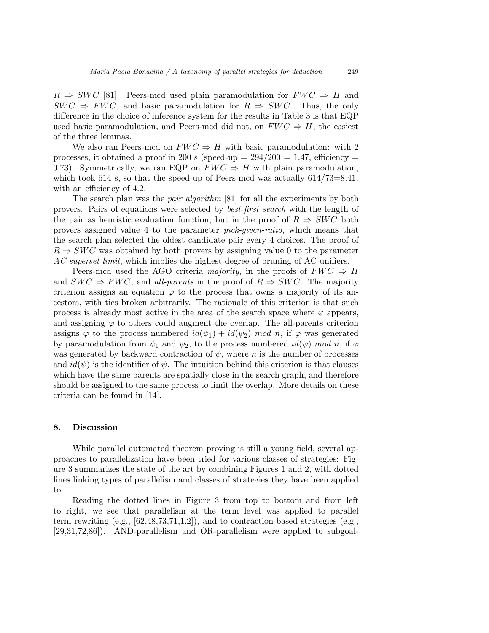$R \Rightarrow SWC$  [81]. Peers-mcd used plain paramodulation for  $FWC \Rightarrow H$  and  $SWC \Rightarrow FWC$ , and basic paramodulation for  $R \Rightarrow SWC$ . Thus, the only difference in the choice of inference system for the results in Table 3 is that EQP used basic paramodulation, and Peers-mcd did not, on  $FWC \Rightarrow H$ , the easiest of the three lemmas.

We also ran Peers-med on  $FWC \Rightarrow H$  with basic paramodulation: with 2 processes, it obtained a proof in 200 s (speed-up  $= 294/200 = 1.47$ , efficiency  $=$ 0.73). Symmetrically, we ran EQP on  $FWC \Rightarrow H$  with plain paramodulation, which took 614 s, so that the speed-up of Peers-mcd was actually  $614/73=8.41$ , with an efficiency of 4.2.

The search plan was the *pair algorithm* [81] for all the experiments by both provers. Pairs of equations were selected by best-first search with the length of the pair as heuristic evaluation function, but in the proof of  $R \Rightarrow SWC$  both provers assigned value 4 to the parameter pick-given-ratio, which means that the search plan selected the oldest candidate pair every 4 choices. The proof of  $R \Rightarrow SWC$  was obtained by both provers by assigning value 0 to the parameter  $AC\text{-}superset\text{-}limit$ , which implies the highest degree of pruning of AC-unifiers.

Peers-mcd used the AGO criteria majority, in the proofs of  $FWC \Rightarrow H$ and  $SWC \Rightarrow FWC$ , and all-parents in the proof of  $R \Rightarrow SWC$ . The majority criterion assigns an equation  $\varphi$  to the process that owns a majority of its ancestors, with ties broken arbitrarily. The rationale of this criterion is that such process is already most active in the area of the search space where  $\varphi$  appears, and assigning  $\varphi$  to others could augment the overlap. The all-parents criterion assigns  $\varphi$  to the process numbered  $id(\psi_1) + id(\psi_2) \mod n$ , if  $\varphi$  was generated by paramodulation from  $\psi_1$  and  $\psi_2$ , to the process numbered  $id(\psi)$  mod n, if  $\varphi$ was generated by backward contraction of  $\psi$ , where n is the number of processes and  $id(\psi)$  is the identifier of  $\psi$ . The intuition behind this criterion is that clauses which have the same parents are spatially close in the search graph, and therefore should be assigned to the same process to limit the overlap. More details on these criteria can be found in [14].

# 8. Discussion

While parallel automated theorem proving is still a young field, several approaches to parallelization have been tried for various classes of strategies: Figure 3 summarizes the state of the art by combining Figures 1 and 2, with dotted lines linking types of parallelism and classes of strategies they have been applied to.

Reading the dotted lines in Figure 3 from top to bottom and from left to right, we see that parallelism at the term level was applied to parallel term rewriting  $(e.g., [62,48,73,71,1,2])$ , and to contraction-based strategies  $(e.g.,$ [29,31,72,86]). AND-parallelism and OR-parallelism were applied to subgoal-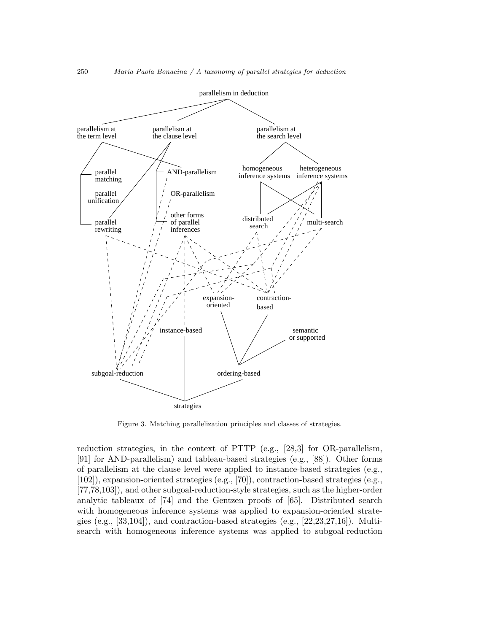

Figure 3. Matching parallelization principles and classes of strategies.

reduction strategies, in the context of PTTP (e.g., [28,3] for OR-parallelism, [91] for AND-parallelism) and tableau-based strategies (e.g., [88]). Other forms of parallelism at the clause level were applied to instance-based strategies (e.g., [102]), expansion-oriented strategies (e.g., [70]), contraction-based strategies (e.g., [77,78,103]), and other subgoal-reduction-style strategies, such as the higher-order analytic tableaux of [74] and the Gentzen proofs of [65]. Distributed search with homogeneous inference systems was applied to expansion-oriented strategies (e.g.,  $[33,104]$ ), and contraction-based strategies (e.g.,  $[22,23,27,16]$ ). Multisearch with homogeneous inference systems was applied to subgoal-reduction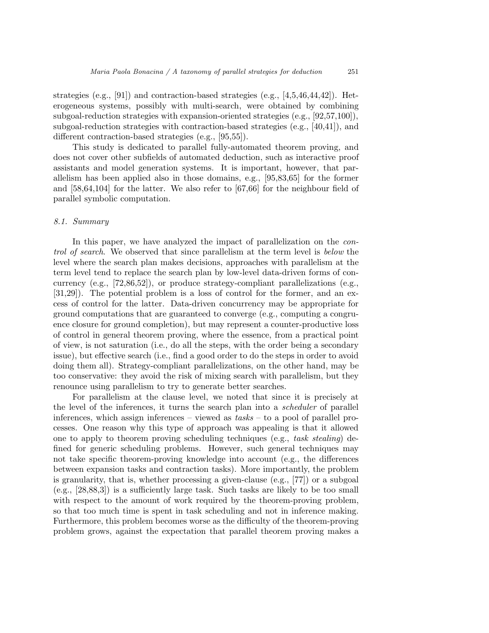strategies (e.g., [91]) and contraction-based strategies (e.g., [4,5,46,44,42]). Heterogeneous systems, possibly with multi-search, were obtained by combining subgoal-reduction strategies with expansion-oriented strategies (e.g., [92,57,100]), subgoal-reduction strategies with contraction-based strategies (e.g., [40,41]), and different contraction-based strategies (e.g., [95,55]).

This study is dedicated to parallel fully-automated theorem proving, and does not cover other subfields of automated deduction, such as interactive proof assistants and model generation systems. It is important, however, that parallelism has been applied also in those domains, e.g., [95,83,65] for the former and [58,64,104] for the latter. We also refer to [67,66] for the neighbour field of parallel symbolic computation.

#### 8.1. Summary

In this paper, we have analyzed the impact of parallelization on the control of search. We observed that since parallelism at the term level is below the level where the search plan makes decisions, approaches with parallelism at the term level tend to replace the search plan by low-level data-driven forms of concurrency (e.g.,  $[72,86,52]$ ), or produce strategy-compliant parallelizations (e.g., [31,29]). The potential problem is a loss of control for the former, and an excess of control for the latter. Data-driven concurrency may be appropriate for ground computations that are guaranteed to converge (e.g., computing a congruence closure for ground completion), but may represent a counter-productive loss of control in general theorem proving, where the essence, from a practical point of view, is not saturation (i.e., do all the steps, with the order being a secondary issue), but effective search (i.e., find a good order to do the steps in order to avoid doing them all). Strategy-compliant parallelizations, on the other hand, may be too conservative: they avoid the risk of mixing search with parallelism, but they renounce using parallelism to try to generate better searches.

For parallelism at the clause level, we noted that since it is precisely at the level of the inferences, it turns the search plan into a scheduler of parallel inferences, which assign inferences – viewed as  $tasks -$  to a pool of parallel processes. One reason why this type of approach was appealing is that it allowed one to apply to theorem proving scheduling techniques (e.g., task stealing) defined for generic scheduling problems. However, such general techniques may not take specific theorem-proving knowledge into account (e.g., the differences between expansion tasks and contraction tasks). More importantly, the problem is granularity, that is, whether processing a given-clause (e.g.,  $[77]$ ) or a subgoal (e.g., [28,88,3]) is a sufficiently large task. Such tasks are likely to be too small with respect to the amount of work required by the theorem-proving problem, so that too much time is spent in task scheduling and not in inference making. Furthermore, this problem becomes worse as the difficulty of the theorem-proving problem grows, against the expectation that parallel theorem proving makes a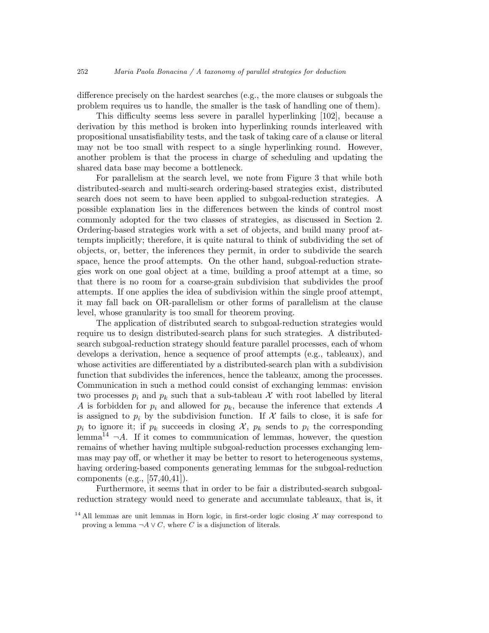difference precisely on the hardest searches (e.g., the more clauses or subgoals the problem requires us to handle, the smaller is the task of handling one of them).

This difficulty seems less severe in parallel hyperlinking [102], because a derivation by this method is broken into hyperlinking rounds interleaved with propositional unsatisfiability tests, and the task of taking care of a clause or literal may not be too small with respect to a single hyperlinking round. However, another problem is that the process in charge of scheduling and updating the shared data base may become a bottleneck.

For parallelism at the search level, we note from Figure 3 that while both distributed-search and multi-search ordering-based strategies exist, distributed search does not seem to have been applied to subgoal-reduction strategies. A possible explanation lies in the differences between the kinds of control most commonly adopted for the two classes of strategies, as discussed in Section 2. Ordering-based strategies work with a set of objects, and build many proof attempts implicitly; therefore, it is quite natural to think of subdividing the set of objects, or, better, the inferences they permit, in order to subdivide the search space, hence the proof attempts. On the other hand, subgoal-reduction strategies work on one goal object at a time, building a proof attempt at a time, so that there is no room for a coarse-grain subdivision that subdivides the proof attempts. If one applies the idea of subdivision within the single proof attempt, it may fall back on OR-parallelism or other forms of parallelism at the clause level, whose granularity is too small for theorem proving.

The application of distributed search to subgoal-reduction strategies would require us to design distributed-search plans for such strategies. A distributedsearch subgoal-reduction strategy should feature parallel processes, each of whom develops a derivation, hence a sequence of proof attempts (e.g., tableaux), and whose activities are differentiated by a distributed-search plan with a subdivision function that subdivides the inferences, hence the tableaux, among the processes. Communication in such a method could consist of exchanging lemmas: envision two processes  $p_i$  and  $p_k$  such that a sub-tableau X with root labelled by literal A is forbidden for  $p_i$  and allowed for  $p_k$ , because the inference that extends A is assigned to  $p_i$  by the subdivision function. If X fails to close, it is safe for  $p_i$  to ignore it; if  $p_k$  succeeds in closing X,  $p_k$  sends to  $p_i$  the corresponding lemma<sup>14</sup>  $\neg A$ . If it comes to communication of lemmas, however, the question remains of whether having multiple subgoal-reduction processes exchanging lemmas may pay off, or whether it may be better to resort to heterogeneous systems, having ordering-based components generating lemmas for the subgoal-reduction components (e.g., [57,40,41]).

Furthermore, it seems that in order to be fair a distributed-search subgoalreduction strategy would need to generate and accumulate tableaux, that is, it

<sup>&</sup>lt;sup>14</sup> All lemmas are unit lemmas in Horn logic, in first-order logic closing  $\mathcal X$  may correspond to proving a lemma  $\neg A \lor C$ , where C is a disjunction of literals.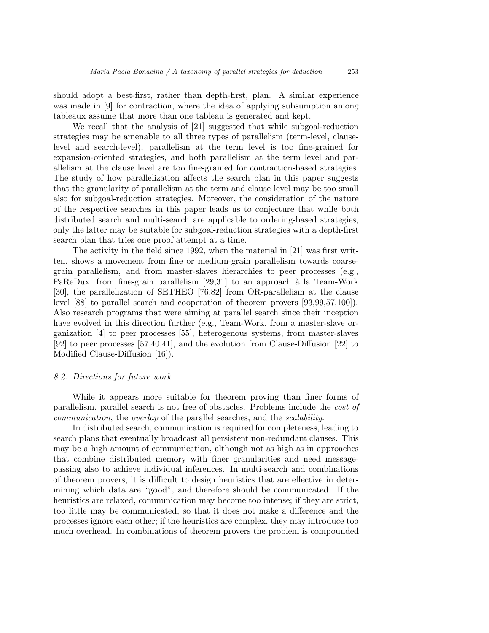should adopt a best-first, rather than depth-first, plan. A similar experience was made in [9] for contraction, where the idea of applying subsumption among tableaux assume that more than one tableau is generated and kept.

We recall that the analysis of [21] suggested that while subgoal-reduction strategies may be amenable to all three types of parallelism (term-level, clauselevel and search-level), parallelism at the term level is too fine-grained for expansion-oriented strategies, and both parallelism at the term level and parallelism at the clause level are too fine-grained for contraction-based strategies. The study of how parallelization affects the search plan in this paper suggests that the granularity of parallelism at the term and clause level may be too small also for subgoal-reduction strategies. Moreover, the consideration of the nature of the respective searches in this paper leads us to conjecture that while both distributed search and multi-search are applicable to ordering-based strategies, only the latter may be suitable for subgoal-reduction strategies with a depth-first search plan that tries one proof attempt at a time.

The activity in the field since 1992, when the material in [21] was first written, shows a movement from fine or medium-grain parallelism towards coarsegrain parallelism, and from master-slaves hierarchies to peer processes (e.g., PaReDux, from fine-grain parallelism  $[29,31]$  to an approach à la Team-Work [30], the parallelization of SETHEO [76,82] from OR-parallelism at the clause level [88] to parallel search and cooperation of theorem provers [93,99,57,100]). Also research programs that were aiming at parallel search since their inception have evolved in this direction further (e.g., Team-Work, from a master-slave organization [4] to peer processes [55], heterogenous systems, from master-slaves [92] to peer processes [57,40,41], and the evolution from Clause-Diffusion [22] to Modified Clause-Diffusion [16]).

#### 8.2. Directions for future work

While it appears more suitable for theorem proving than finer forms of parallelism, parallel search is not free of obstacles. Problems include the cost of communication, the overlap of the parallel searches, and the scalability.

In distributed search, communication is required for completeness, leading to search plans that eventually broadcast all persistent non-redundant clauses. This may be a high amount of communication, although not as high as in approaches that combine distributed memory with finer granularities and need messagepassing also to achieve individual inferences. In multi-search and combinations of theorem provers, it is difficult to design heuristics that are effective in determining which data are "good", and therefore should be communicated. If the heuristics are relaxed, communication may become too intense; if they are strict, too little may be communicated, so that it does not make a difference and the processes ignore each other; if the heuristics are complex, they may introduce too much overhead. In combinations of theorem provers the problem is compounded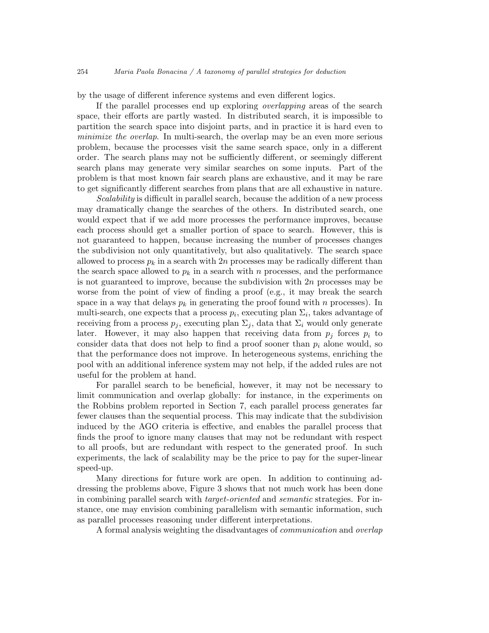by the usage of different inference systems and even different logics.

If the parallel processes end up exploring overlapping areas of the search space, their efforts are partly wasted. In distributed search, it is impossible to partition the search space into disjoint parts, and in practice it is hard even to minimize the overlap. In multi-search, the overlap may be an even more serious problem, because the processes visit the same search space, only in a different order. The search plans may not be sufficiently different, or seemingly different search plans may generate very similar searches on some inputs. Part of the problem is that most known fair search plans are exhaustive, and it may be rare to get significantly different searches from plans that are all exhaustive in nature.

Scalability is difficult in parallel search, because the addition of a new process may dramatically change the searches of the others. In distributed search, one would expect that if we add more processes the performance improves, because each process should get a smaller portion of space to search. However, this is not guaranteed to happen, because increasing the number of processes changes the subdivision not only quantitatively, but also qualitatively. The search space allowed to process  $p_k$  in a search with 2n processes may be radically different than the search space allowed to  $p_k$  in a search with n processes, and the performance is not guaranteed to improve, because the subdivision with  $2n$  processes may be worse from the point of view of finding a proof (e.g., it may break the search space in a way that delays  $p_k$  in generating the proof found with n processes). In multi-search, one expects that a process  $p_i$ , executing plan  $\Sigma_i$ , takes advantage of receiving from a process  $p_j$ , executing plan  $\Sigma_j$ , data that  $\Sigma_i$  would only generate later. However, it may also happen that receiving data from  $p_i$  forces  $p_i$  to consider data that does not help to find a proof sooner than  $p_i$  alone would, so that the performance does not improve. In heterogeneous systems, enriching the pool with an additional inference system may not help, if the added rules are not useful for the problem at hand.

For parallel search to be beneficial, however, it may not be necessary to limit communication and overlap globally: for instance, in the experiments on the Robbins problem reported in Section 7, each parallel process generates far fewer clauses than the sequential process. This may indicate that the subdivision induced by the AGO criteria is effective, and enables the parallel process that finds the proof to ignore many clauses that may not be redundant with respect to all proofs, but are redundant with respect to the generated proof. In such experiments, the lack of scalability may be the price to pay for the super-linear speed-up.

Many directions for future work are open. In addition to continuing addressing the problems above, Figure 3 shows that not much work has been done in combining parallel search with target-oriented and semantic strategies. For instance, one may envision combining parallelism with semantic information, such as parallel processes reasoning under different interpretations.

A formal analysis weighting the disadvantages of communication and overlap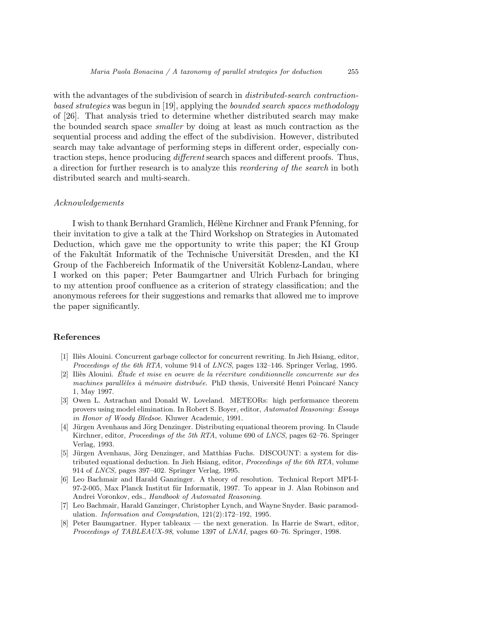with the advantages of the subdivision of search in *distributed-search contraction*based strategies was begun in [19], applying the bounded search spaces methodology of [26]. That analysis tried to determine whether distributed search may make the bounded search space smaller by doing at least as much contraction as the sequential process and adding the effect of the subdivision. However, distributed search may take advantage of performing steps in different order, especially contraction steps, hence producing different search spaces and different proofs. Thus, a direction for further research is to analyze this reordering of the search in both distributed search and multi-search.

### Acknowledgements

I wish to thank Bernhard Gramlich, Hélène Kirchner and Frank Pfenning, for their invitation to give a talk at the Third Workshop on Strategies in Automated Deduction, which gave me the opportunity to write this paper; the KI Group of the Fakultät Informatik of the Technische Universität Dresden, and the KI Group of the Fachbereich Informatik of the Universität Koblenz-Landau, where I worked on this paper; Peter Baumgartner and Ulrich Furbach for bringing to my attention proof confluence as a criterion of strategy classification; and the anonymous referees for their suggestions and remarks that allowed me to improve the paper significantly.

#### References

- [1] Ili`es Alouini. Concurrent garbage collector for concurrent rewriting. In Jieh Hsiang, editor, Proceedings of the 6th RTA, volume 914 of LNCS, pages 132–146. Springer Verlag, 1995.
- $[2]$  Iliès Alouini. Étude et mise en oeuvre de la réecriture conditionnelle concurrente sur des machines parallèles à mémoire distribuée. PhD thesis, Université Henri Poincaré Nancy 1, May 1997.
- [3] Owen L. Astrachan and Donald W. Loveland. METEORs: high performance theorem provers using model elimination. In Robert S. Boyer, editor, Automated Reasoning: Essays in Honor of Woody Bledsoe. Kluwer Academic, 1991.
- [4] Jürgen Avenhaus and Jörg Denzinger. Distributing equational theorem proving. In Claude Kirchner, editor, *Proceedings of the 5th RTA*, volume 690 of *LNCS*, pages 62–76. Springer Verlag, 1993.
- [5] Jürgen Avenhaus, Jörg Denzinger, and Matthias Fuchs. DISCOUNT: a system for distributed equational deduction. In Jieh Hsiang, editor, Proceedings of the 6th RTA, volume 914 of LNCS, pages 397–402. Springer Verlag, 1995.
- [6] Leo Bachmair and Harald Ganzinger. A theory of resolution. Technical Report MPI-I-97-2-005, Max Planck Institut für Informatik, 1997. To appear in J. Alan Robinson and Andrei Voronkov, eds., Handbook of Automated Reasoning.
- [7] Leo Bachmair, Harald Ganzinger, Christopher Lynch, and Wayne Snyder. Basic paramodulation. Information and Computation, 121(2):172–192, 1995.
- [8] Peter Baumgartner. Hyper tableaux the next generation. In Harrie de Swart, editor, Proceedings of TABLEAUX-98, volume 1397 of LNAI, pages 60-76. Springer, 1998.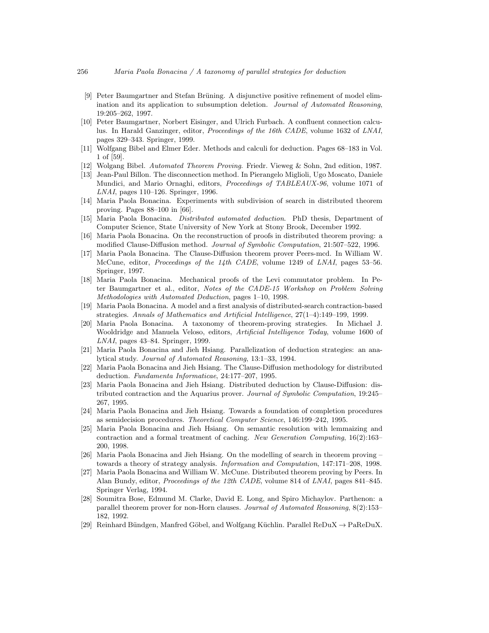- [9] Peter Baumgartner and Stefan Brüning. A disjunctive positive refinement of model elimination and its application to subsumption deletion. Journal of Automated Reasoning, 19:205–262, 1997.
- [10] Peter Baumgartner, Norbert Eisinger, and Ulrich Furbach. A confluent connection calculus. In Harald Ganzinger, editor, Proceedings of the 16th CADE, volume 1632 of LNAI, pages 329–343. Springer, 1999.
- [11] Wolfgang Bibel and Elmer Eder. Methods and calculi for deduction. Pages 68–183 in Vol. 1 of [59].
- [12] Wolgang Bibel. Automated Theorem Proving. Friedr. Vieweg & Sohn, 2nd edition, 1987.
- [13] Jean-Paul Billon. The disconnection method. In Pierangelo Miglioli, Ugo Moscato, Daniele Mundici, and Mario Ornaghi, editors, Proceedings of TABLEAUX-96, volume 1071 of LNAI, pages 110–126. Springer, 1996.
- [14] Maria Paola Bonacina. Experiments with subdivision of search in distributed theorem proving. Pages 88–100 in [66].
- [15] Maria Paola Bonacina. Distributed automated deduction. PhD thesis, Department of Computer Science, State University of New York at Stony Brook, December 1992.
- [16] Maria Paola Bonacina. On the reconstruction of proofs in distributed theorem proving: a modified Clause-Diffusion method. Journal of Symbolic Computation, 21:507–522, 1996.
- [17] Maria Paola Bonacina. The Clause-Diffusion theorem prover Peers-mcd. In William W. McCune, editor, Proceedings of the 14th CADE, volume 1249 of LNAI, pages 53–56. Springer, 1997.
- [18] Maria Paola Bonacina. Mechanical proofs of the Levi commutator problem. In Peter Baumgartner et al., editor, Notes of the CADE-15 Workshop on Problem Solving Methodologies with Automated Deduction, pages 1–10, 1998.
- [19] Maria Paola Bonacina. A model and a first analysis of distributed-search contraction-based strategies. Annals of Mathematics and Artificial Intelligence, 27(1–4):149–199, 1999.
- [20] Maria Paola Bonacina. A taxonomy of theorem-proving strategies. In Michael J. Wooldridge and Manuela Veloso, editors, Artificial Intelligence Today, volume 1600 of LNAI, pages 43–84. Springer, 1999.
- [21] Maria Paola Bonacina and Jieh Hsiang. Parallelization of deduction strategies: an analytical study. Journal of Automated Reasoning, 13:1–33, 1994.
- [22] Maria Paola Bonacina and Jieh Hsiang. The Clause-Diffusion methodology for distributed deduction. Fundamenta Informaticae, 24:177–207, 1995.
- [23] Maria Paola Bonacina and Jieh Hsiang. Distributed deduction by Clause-Diffusion: distributed contraction and the Aquarius prover. Journal of Symbolic Computation, 19:245– 267, 1995.
- [24] Maria Paola Bonacina and Jieh Hsiang. Towards a foundation of completion procedures as semidecision procedures. Theoretical Computer Science, 146:199–242, 1995.
- [25] Maria Paola Bonacina and Jieh Hsiang. On semantic resolution with lemmaizing and contraction and a formal treatment of caching. New Generation Computing, 16(2):163– 200, 1998.
- [26] Maria Paola Bonacina and Jieh Hsiang. On the modelling of search in theorem proving towards a theory of strategy analysis. Information and Computation, 147:171–208, 1998.
- [27] Maria Paola Bonacina and William W. McCune. Distributed theorem proving by Peers. In Alan Bundy, editor, Proceedings of the 12th CADE, volume 814 of LNAI, pages 841–845. Springer Verlag, 1994.
- [28] Soumitra Bose, Edmund M. Clarke, David E. Long, and Spiro Michaylov. Parthenon: a parallel theorem prover for non-Horn clauses. Journal of Automated Reasoning, 8(2):153– 182, 1992.
- [29] Reinhard Bündgen, Manfred Göbel, and Wolfgang Küchlin. Parallel ReDuX  $\rightarrow$  PaReDuX.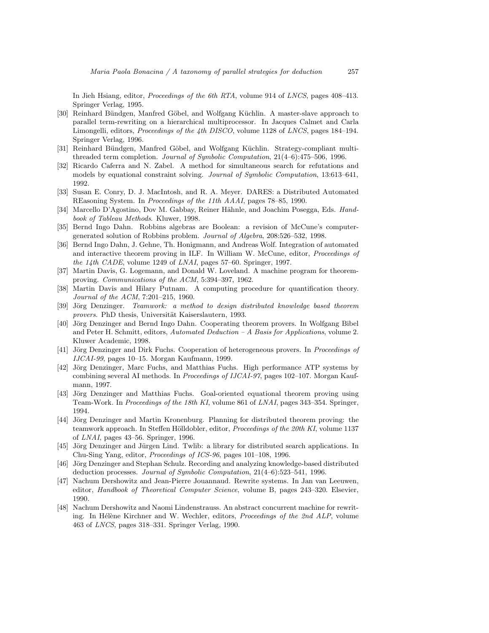In Jieh Hsiang, editor, Proceedings of the 6th RTA, volume 914 of LNCS, pages 408–413. Springer Verlag, 1995.

- [30] Reinhard Bündgen, Manfred Göbel, and Wolfgang Küchlin. A master-slave approach to parallel term-rewriting on a hierarchical multiprocessor. In Jacques Calmet and Carla Limongelli, editors, *Proceedings of the 4th DISCO*, volume 1128 of *LNCS*, pages 184–194. Springer Verlag, 1996.
- [31] Reinhard Bündgen, Manfred Göbel, and Wolfgang Küchlin. Strategy-compliant multithreaded term completion. Journal of Symbolic Computation, 21(4–6):475–506, 1996.
- [32] Ricardo Caferra and N. Zabel. A method for simultaneous search for refutations and models by equational constraint solving. Journal of Symbolic Computation, 13:613–641, 1992.
- [33] Susan E. Conry, D. J. MacIntosh, and R. A. Meyer. DARES: a Distributed Automated REasoning System. In Proceedings of the 11th AAAI, pages 78–85, 1990.
- [34] Marcello D'Agostino, Dov M. Gabbay, Reiner Hähnle, and Joachim Posegga, Eds. Handbook of Tableau Methods. Kluwer, 1998.
- [35] Bernd Ingo Dahn. Robbins algebras are Boolean: a revision of McCune's computergenerated solution of Robbins problem. Journal of Algebra, 208:526–532, 1998.
- [36] Bernd Ingo Dahn, J. Gehne, Th. Honigmann, and Andreas Wolf. Integration of automated and interactive theorem proving in ILF. In William W. McCune, editor, Proceedings of the 14th CADE, volume 1249 of LNAI, pages 57–60. Springer, 1997.
- [37] Martin Davis, G. Logemann, and Donald W. Loveland. A machine program for theoremproving. Communications of the ACM, 5:394–397, 1962.
- [38] Martin Davis and Hilary Putnam. A computing procedure for quantification theory. Journal of the ACM, 7:201–215, 1960.
- [39] Jörg Denzinger. Teamwork: a method to design distributed knowledge based theorem provers. PhD thesis, Universität Kaiserslautern, 1993.
- [40] Jörg Denzinger and Bernd Ingo Dahn. Cooperating theorem provers. In Wolfgang Bibel and Peter H. Schmitt, editors, Automated Deduction – A Basis for Applications, volume 2. Kluwer Academic, 1998.
- [41] Jörg Denzinger and Dirk Fuchs. Cooperation of heterogeneous provers. In *Proceedings of* IJCAI-99, pages 10–15. Morgan Kaufmann, 1999.
- [42] Jörg Denzinger, Marc Fuchs, and Matthias Fuchs. High performance ATP systems by combining several AI methods. In Proceedings of IJCAI-97, pages 102–107. Morgan Kaufmann, 1997.
- [43] Jörg Denzinger and Matthias Fuchs. Goal-oriented equational theorem proving using Team-Work. In *Proceedings of the 18th KI*, volume 861 of *LNAI*, pages 343–354. Springer, 1994.
- [44] Jörg Denzinger and Martin Kronenburg. Planning for distributed theorem proving: the teamwork approach. In Steffen Hölldobler, editor, *Proceedings of the 20th KI*, volume 1137 of LNAI, pages 43–56. Springer, 1996.
- [45] Jörg Denzinger and Jürgen Lind. Twlib: a library for distributed search applications. In Chu-Sing Yang, editor, Proceedings of ICS-96, pages 101–108, 1996.
- [46] Jörg Denzinger and Stephan Schulz. Recording and analyzing knowledge-based distributed deduction processes. Journal of Symbolic Computation, 21(4–6):523–541, 1996.
- [47] Nachum Dershowitz and Jean-Pierre Jouannaud. Rewrite systems. In Jan van Leeuwen, editor, Handbook of Theoretical Computer Science, volume B, pages 243–320. Elsevier, 1990.
- [48] Nachum Dershowitz and Naomi Lindenstrauss. An abstract concurrent machine for rewriting. In Hélène Kirchner and W. Wechler, editors, *Proceedings of the 2nd ALP*, volume 463 of LNCS, pages 318–331. Springer Verlag, 1990.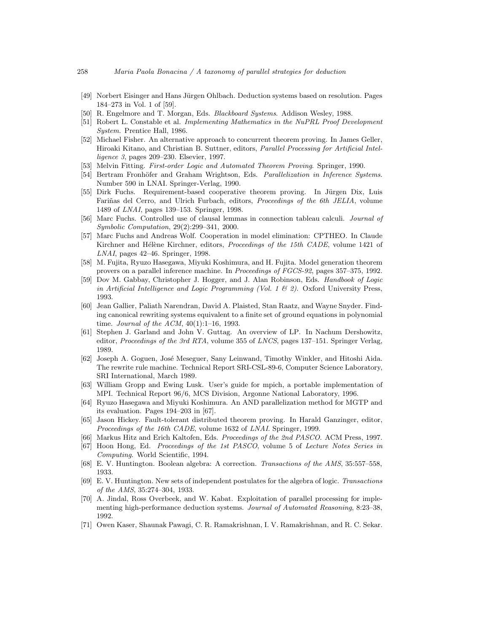- [49] Norbert Eisinger and Hans Jürgen Ohlbach. Deduction systems based on resolution. Pages 184–273 in Vol. 1 of [59].
- [50] R. Engelmore and T. Morgan, Eds. Blackboard Systems. Addison Wesley, 1988.
- [51] Robert L. Constable et al. Implementing Mathematics in the NuPRL Proof Development System. Prentice Hall, 1986.
- [52] Michael Fisher. An alternative approach to concurrent theorem proving. In James Geller, Hiroaki Kitano, and Christian B. Suttner, editors, Parallel Processing for Artificial Intelligence 3, pages 209–230. Elsevier, 1997.
- [53] Melvin Fitting. First-order Logic and Automated Theorem Proving. Springer, 1990.
- [54] Bertram Fronhöfer and Graham Wrightson, Eds. Parallelization in Inference Systems. Number 590 in LNAI. Springer-Verlag, 1990.
- [55] Dirk Fuchs. Requirement-based cooperative theorem proving. In Jürgen Dix, Luis Fariñas del Cerro, and Ulrich Furbach, editors, *Proceedings of the 6th JELIA*, volume 1489 of LNAI, pages 139–153. Springer, 1998.
- [56] Marc Fuchs. Controlled use of clausal lemmas in connection tableau calculi. Journal of Symbolic Computation, 29(2):299–341, 2000.
- [57] Marc Fuchs and Andreas Wolf. Cooperation in model elimination: CPTHEO. In Claude Kirchner and Hélène Kirchner, editors, *Proceedings of the 15th CADE*, volume 1421 of LNAI, pages 42–46. Springer, 1998.
- [58] M. Fujita, Ryuzo Hasegawa, Miyuki Koshimura, and H. Fujita. Model generation theorem provers on a parallel inference machine. In Proceedings of FGCS-92, pages 357–375, 1992.
- [59] Dov M. Gabbay, Christopher J. Hogger, and J. Alan Robinson, Eds. Handbook of Logic in Artificial Intelligence and Logic Programming (Vol. 1  $\&$  2). Oxford University Press, 1993.
- [60] Jean Gallier, Paliath Narendran, David A. Plaisted, Stan Raatz, and Wayne Snyder. Finding canonical rewriting systems equivalent to a finite set of ground equations in polynomial time. Journal of the ACM,  $40(1):1-16$ , 1993.
- [61] Stephen J. Garland and John V. Guttag. An overview of LP. In Nachum Dershowitz, editor, Proceedings of the 3rd RTA, volume 355 of LNCS, pages 137–151. Springer Verlag, 1989.
- [62] Joseph A. Goguen, Jos´e Meseguer, Sany Leinwand, Timothy Winkler, and Hitoshi Aida. The rewrite rule machine. Technical Report SRI-CSL-89-6, Computer Science Laboratory, SRI International, March 1989.
- [63] William Gropp and Ewing Lusk. User's guide for mpich, a portable implementation of MPI. Technical Report 96/6, MCS Division, Argonne National Laboratory, 1996.
- [64] Ryuzo Hasegawa and Miyuki Koshimura. An AND parallelization method for MGTP and its evaluation. Pages 194–203 in [67].
- [65] Jason Hickey. Fault-tolerant distributed theorem proving. In Harald Ganzinger, editor, Proceedings of the 16th CADE, volume 1632 of LNAI. Springer, 1999.
- [66] Markus Hitz and Erich Kaltofen, Eds. Proceedings of the 2nd PASCO. ACM Press, 1997.
- [67] Hoon Hong, Ed. Proceedings of the 1st PASCO, volume 5 of Lecture Notes Series in Computing. World Scientific, 1994.
- [68] E. V. Huntington. Boolean algebra: A correction. Transactions of the AMS, 35:557–558, 1933.
- [69] E. V. Huntington. New sets of independent postulates for the algebra of logic. Transactions of the AMS, 35:274–304, 1933.
- [70] A. Jindal, Ross Overbeek, and W. Kabat. Exploitation of parallel processing for implementing high-performance deduction systems. Journal of Automated Reasoning, 8:23–38, 1992.
- [71] Owen Kaser, Shaunak Pawagi, C. R. Ramakrishnan, I. V. Ramakrishnan, and R. C. Sekar.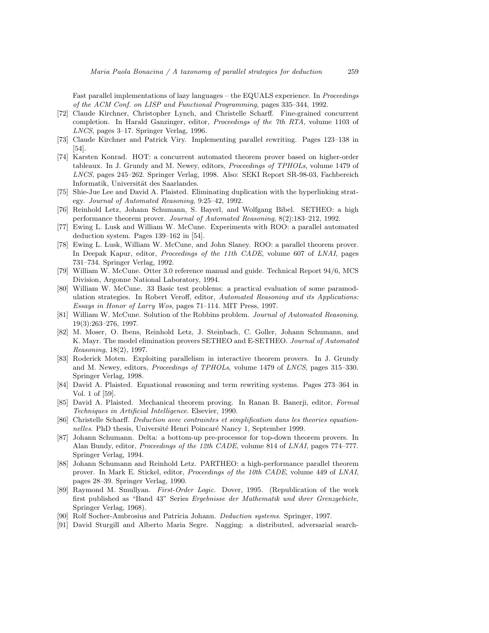Fast parallel implementations of lazy languages – the EQUALS experience. In *Proceedings* of the ACM Conf. on LISP and Functional Programming, pages 335–344, 1992.

- [72] Claude Kirchner, Christopher Lynch, and Christelle Scharff. Fine-grained concurrent completion. In Harald Ganzinger, editor, *Proceedings of the 7th RTA*, volume 1103 of LNCS, pages 3–17. Springer Verlag, 1996.
- [73] Claude Kirchner and Patrick Viry. Implementing parallel rewriting. Pages 123–138 in [54].
- [74] Karsten Konrad. HOT: a concurrent automated theorem prover based on higher-order tableaux. In J. Grundy and M. Newey, editors, Proceedings of TPHOLs, volume 1479 of LNCS, pages 245–262. Springer Verlag, 1998. Also: SEKI Report SR-98-03, Fachbereich Informatik, Universität des Saarlandes.
- [75] Shie-Jue Lee and David A. Plaisted. Eliminating duplication with the hyperlinking strategy. Journal of Automated Reasoning, 9:25–42, 1992.
- [76] Reinhold Letz, Johann Schumann, S. Bayerl, and Wolfgang Bibel. SETHEO: a high performance theorem prover. Journal of Automated Reasoning, 8(2):183–212, 1992.
- [77] Ewing L. Lusk and William W. McCune. Experiments with ROO: a parallel automated deduction system. Pages 139–162 in [54].
- [78] Ewing L. Lusk, William W. McCune, and John Slaney. ROO: a parallel theorem prover. In Deepak Kapur, editor, *Proceedings of the 11th CADE*, volume 607 of LNAI, pages 731–734. Springer Verlag, 1992.
- [79] William W. McCune. Otter 3.0 reference manual and guide. Technical Report 94/6, MCS Division, Argonne National Laboratory, 1994.
- [80] William W. McCune. 33 Basic test problems: a practical evaluation of some paramodulation strategies. In Robert Veroff, editor, Automated Reasoning and its Applications: Essays in Honor of Larry Wos, pages 71–114. MIT Press, 1997.
- [81] William W. McCune. Solution of the Robbins problem. *Journal of Automated Reasoning*, 19(3):263–276, 1997.
- [82] M. Moser, O. Ibens, Reinhold Letz, J. Steinbach, C. Goller, Johann Schumann, and K. Mayr. The model elimination provers SETHEO and E-SETHEO. Journal of Automated Reasoning, 18(2), 1997.
- [83] Roderick Moten. Exploiting parallelism in interactive theorem provers. In J. Grundy and M. Newey, editors, *Proceedings of TPHOLs*, volume 1479 of *LNCS*, pages 315–330. Springer Verlag, 1998.
- [84] David A. Plaisted. Equational reasoning and term rewriting systems. Pages 273–364 in Vol. 1 of [59].
- [85] David A. Plaisted. Mechanical theorem proving. In Ranan B. Banerji, editor, Formal Techniques in Artificial Intelligence. Elsevier, 1990.
- [86] Christelle Scharff. Deduction avec contraintes et simplification dans les theories equationnelles. PhD thesis, Université Henri Poincaré Nancy 1, September 1999.
- [87] Johann Schumann. Delta: a bottom-up pre-processor for top-down theorem provers. In Alan Bundy, editor, Proceedings of the 12th CADE, volume 814 of LNAI, pages 774–777. Springer Verlag, 1994.
- [88] Johann Schumann and Reinhold Letz. PARTHEO: a high-performance parallel theorem prover. In Mark E. Stickel, editor, Proceedings of the 10th CADE, volume 449 of LNAI, pages 28–39. Springer Verlag, 1990.
- [89] Raymond M. Smullyan. First-Order Logic. Dover, 1995. (Republication of the work first published as "Band 43" Series Ergebnisse der Mathematik und ihrer Grenzgebiete, Springer Verlag, 1968).
- [90] Rolf Socher-Ambrosius and Patricia Johann. Deduction systems. Springer, 1997.
- [91] David Sturgill and Alberto Maria Segre. Nagging: a distributed, adversarial search-